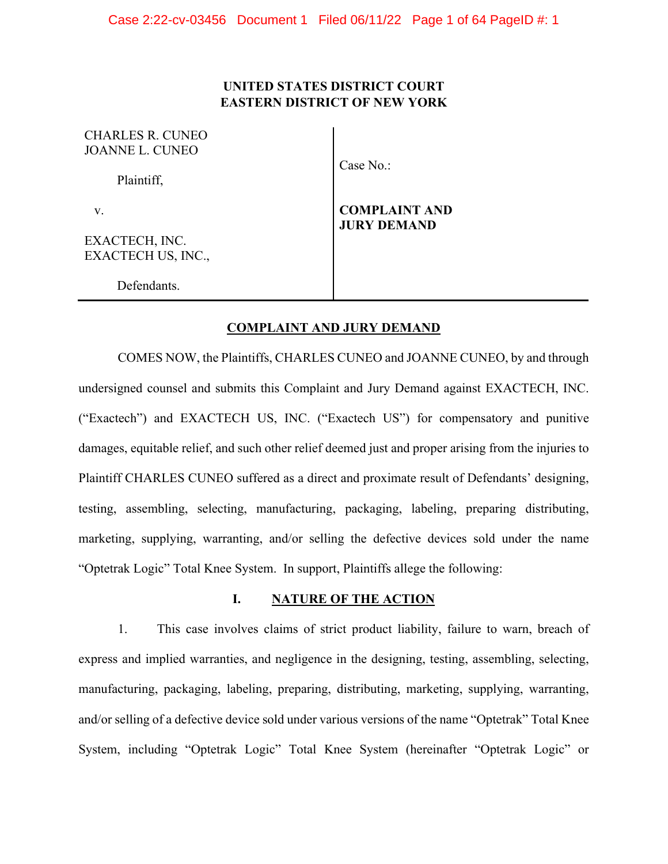# **UNITED STATES DISTRICT COURT EASTERN DISTRICT OF NEW YORK**

| CHARLES R. CUNEO<br>JOANNE L. CUNEO |                                            |
|-------------------------------------|--------------------------------------------|
| Plaintiff,                          | Case $No.$ :                               |
| v.                                  | <b>COMPLAINT AND</b><br><b>JURY DEMAND</b> |
| EXACTECH, INC.                      |                                            |
| EXACTECH US, INC.,                  |                                            |
| Defendants.                         |                                            |

### **COMPLAINT AND JURY DEMAND**

COMES NOW, the Plaintiffs, CHARLES CUNEO and JOANNE CUNEO, by and through undersigned counsel and submits this Complaint and Jury Demand against EXACTECH, INC. ("Exactech") and EXACTECH US, INC. ("Exactech US") for compensatory and punitive damages, equitable relief, and such other relief deemed just and proper arising from the injuries to Plaintiff CHARLES CUNEO suffered as a direct and proximate result of Defendants' designing, testing, assembling, selecting, manufacturing, packaging, labeling, preparing distributing, marketing, supplying, warranting, and/or selling the defective devices sold under the name "Optetrak Logic" Total Knee System. In support, Plaintiffs allege the following:

# **I. NATURE OF THE ACTION**

1. This case involves claims of strict product liability, failure to warn, breach of express and implied warranties, and negligence in the designing, testing, assembling, selecting, manufacturing, packaging, labeling, preparing, distributing, marketing, supplying, warranting, and/or selling of a defective device sold under various versions of the name "Optetrak" Total Knee System, including "Optetrak Logic" Total Knee System (hereinafter "Optetrak Logic" or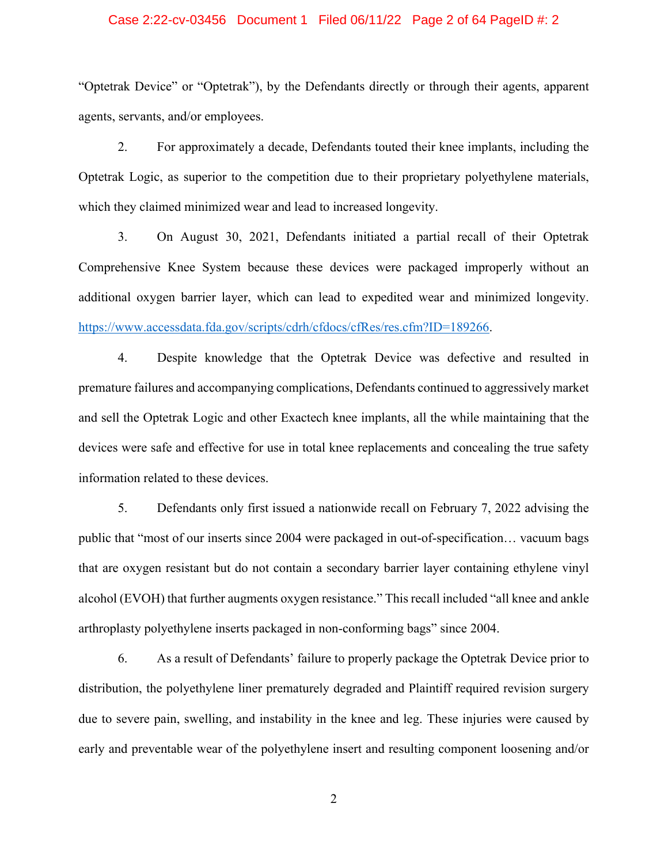### Case 2:22-cv-03456 Document 1 Filed 06/11/22 Page 2 of 64 PageID #: 2

"Optetrak Device" or "Optetrak"), by the Defendants directly or through their agents, apparent agents, servants, and/or employees.

2. For approximately a decade, Defendants touted their knee implants, including the Optetrak Logic, as superior to the competition due to their proprietary polyethylene materials, which they claimed minimized wear and lead to increased longevity.

3. On August 30, 2021, Defendants initiated a partial recall of their Optetrak Comprehensive Knee System because these devices were packaged improperly without an additional oxygen barrier layer, which can lead to expedited wear and minimized longevity. https://www.accessdata.fda.gov/scripts/cdrh/cfdocs/cfRes/res.cfm?ID=189266.

4. Despite knowledge that the Optetrak Device was defective and resulted in premature failures and accompanying complications, Defendants continued to aggressively market and sell the Optetrak Logic and other Exactech knee implants, all the while maintaining that the devices were safe and effective for use in total knee replacements and concealing the true safety information related to these devices.

5. Defendants only first issued a nationwide recall on February 7, 2022 advising the public that "most of our inserts since 2004 were packaged in out-of-specification… vacuum bags that are oxygen resistant but do not contain a secondary barrier layer containing ethylene vinyl alcohol (EVOH) that further augments oxygen resistance." This recall included "all knee and ankle arthroplasty polyethylene inserts packaged in non-conforming bags" since 2004.

6. As a result of Defendants' failure to properly package the Optetrak Device prior to distribution, the polyethylene liner prematurely degraded and Plaintiff required revision surgery due to severe pain, swelling, and instability in the knee and leg. These injuries were caused by early and preventable wear of the polyethylene insert and resulting component loosening and/or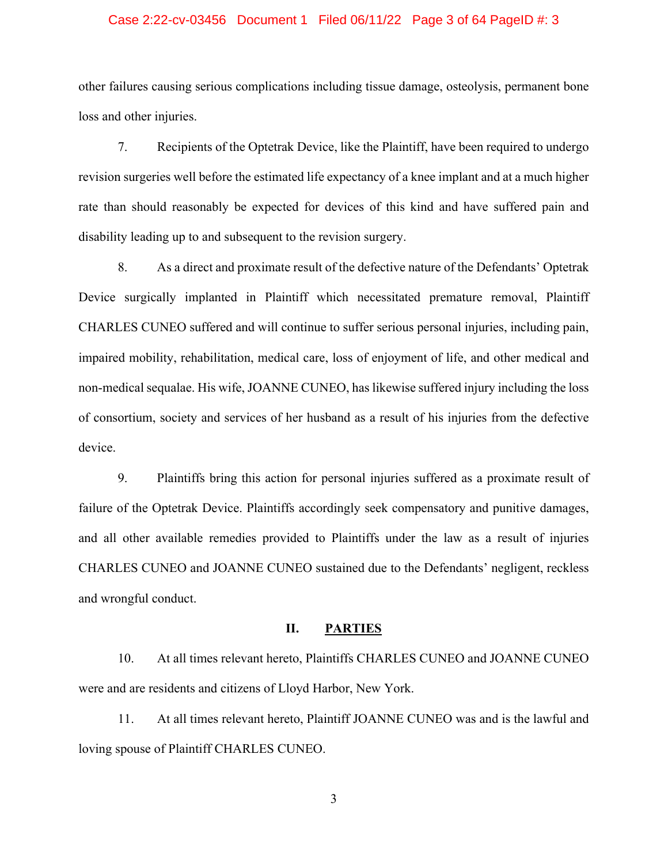### Case 2:22-cv-03456 Document 1 Filed 06/11/22 Page 3 of 64 PageID #: 3

other failures causing serious complications including tissue damage, osteolysis, permanent bone loss and other injuries.

7. Recipients of the Optetrak Device, like the Plaintiff, have been required to undergo revision surgeries well before the estimated life expectancy of a knee implant and at a much higher rate than should reasonably be expected for devices of this kind and have suffered pain and disability leading up to and subsequent to the revision surgery.

 8. As a direct and proximate result of the defective nature of the Defendants' Optetrak Device surgically implanted in Plaintiff which necessitated premature removal, Plaintiff CHARLES CUNEO suffered and will continue to suffer serious personal injuries, including pain, impaired mobility, rehabilitation, medical care, loss of enjoyment of life, and other medical and non-medical sequalae. His wife, JOANNE CUNEO, has likewise suffered injury including the loss of consortium, society and services of her husband as a result of his injuries from the defective device.

 9. Plaintiffs bring this action for personal injuries suffered as a proximate result of failure of the Optetrak Device. Plaintiffs accordingly seek compensatory and punitive damages, and all other available remedies provided to Plaintiffs under the law as a result of injuries CHARLES CUNEO and JOANNE CUNEO sustained due to the Defendants' negligent, reckless and wrongful conduct.

### **II. PARTIES**

10. At all times relevant hereto, Plaintiffs CHARLES CUNEO and JOANNE CUNEO were and are residents and citizens of Lloyd Harbor, New York.

11. At all times relevant hereto, Plaintiff JOANNE CUNEO was and is the lawful and loving spouse of Plaintiff CHARLES CUNEO.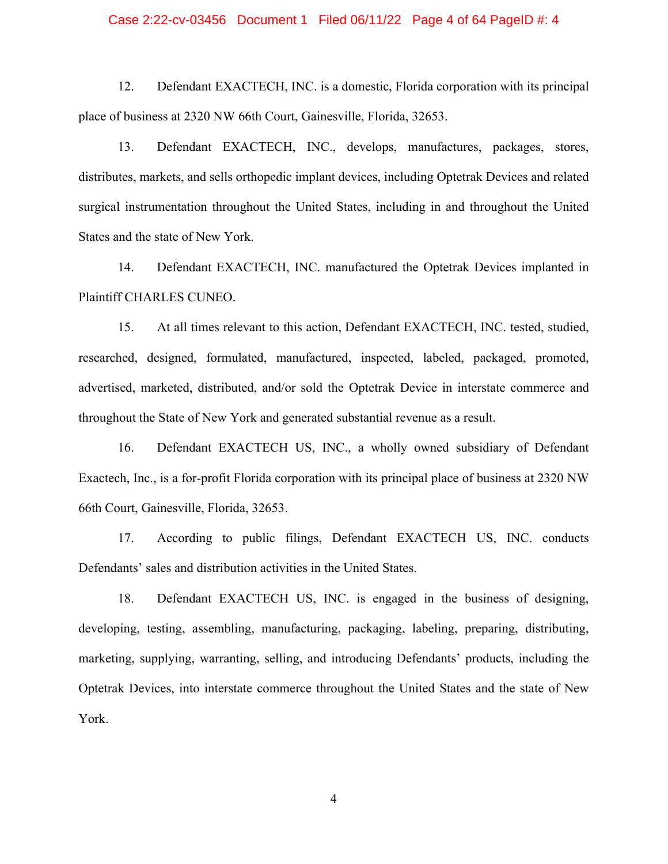### Case 2:22-cv-03456 Document 1 Filed 06/11/22 Page 4 of 64 PageID #: 4

12. Defendant EXACTECH, INC. is a domestic, Florida corporation with its principal place of business at 2320 NW 66th Court, Gainesville, Florida, 32653.

13. Defendant EXACTECH, INC., develops, manufactures, packages, stores, distributes, markets, and sells orthopedic implant devices, including Optetrak Devices and related surgical instrumentation throughout the United States, including in and throughout the United States and the state of New York.

14. Defendant EXACTECH, INC. manufactured the Optetrak Devices implanted in Plaintiff CHARLES CUNEO.

15. At all times relevant to this action, Defendant EXACTECH, INC. tested, studied, researched, designed, formulated, manufactured, inspected, labeled, packaged, promoted, advertised, marketed, distributed, and/or sold the Optetrak Device in interstate commerce and throughout the State of New York and generated substantial revenue as a result.

 16. Defendant EXACTECH US, INC., a wholly owned subsidiary of Defendant Exactech, Inc., is a for-profit Florida corporation with its principal place of business at 2320 NW 66th Court, Gainesville, Florida, 32653.

17. According to public filings, Defendant EXACTECH US, INC. conducts Defendants' sales and distribution activities in the United States.

18. Defendant EXACTECH US, INC. is engaged in the business of designing, developing, testing, assembling, manufacturing, packaging, labeling, preparing, distributing, marketing, supplying, warranting, selling, and introducing Defendants' products, including the Optetrak Devices, into interstate commerce throughout the United States and the state of New York.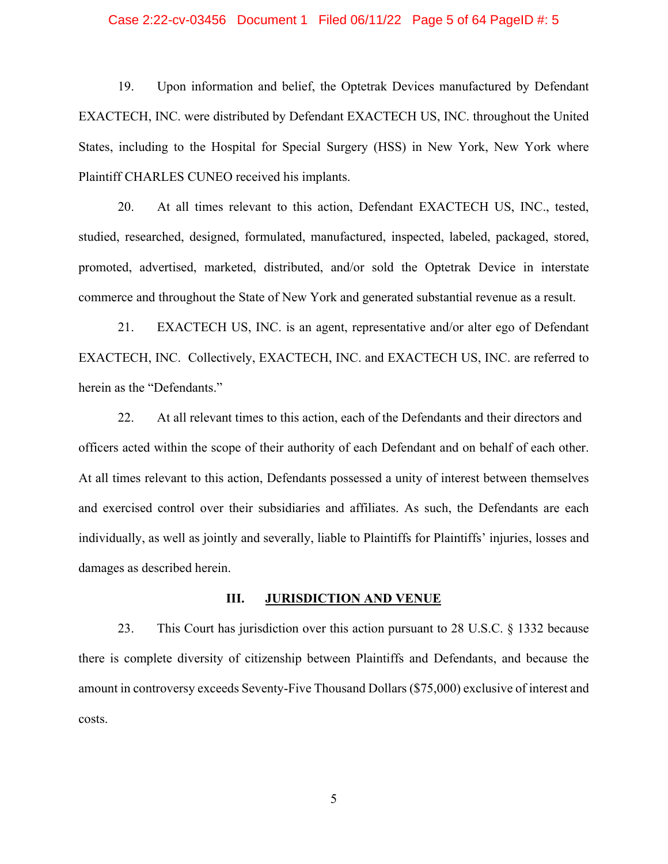### Case 2:22-cv-03456 Document 1 Filed 06/11/22 Page 5 of 64 PageID #: 5

19. Upon information and belief, the Optetrak Devices manufactured by Defendant EXACTECH, INC. were distributed by Defendant EXACTECH US, INC. throughout the United States, including to the Hospital for Special Surgery (HSS) in New York, New York where Plaintiff CHARLES CUNEO received his implants.

20. At all times relevant to this action, Defendant EXACTECH US, INC., tested, studied, researched, designed, formulated, manufactured, inspected, labeled, packaged, stored, promoted, advertised, marketed, distributed, and/or sold the Optetrak Device in interstate commerce and throughout the State of New York and generated substantial revenue as a result.

 21. EXACTECH US, INC. is an agent, representative and/or alter ego of Defendant EXACTECH, INC. Collectively, EXACTECH, INC. and EXACTECH US, INC. are referred to herein as the "Defendants."

 22. At all relevant times to this action, each of the Defendants and their directors and officers acted within the scope of their authority of each Defendant and on behalf of each other. At all times relevant to this action, Defendants possessed a unity of interest between themselves and exercised control over their subsidiaries and affiliates. As such, the Defendants are each individually, as well as jointly and severally, liable to Plaintiffs for Plaintiffs' injuries, losses and damages as described herein.

### **III. JURISDICTION AND VENUE**

23. This Court has jurisdiction over this action pursuant to 28 U.S.C. § 1332 because there is complete diversity of citizenship between Plaintiffs and Defendants, and because the amount in controversy exceeds Seventy-Five Thousand Dollars (\$75,000) exclusive of interest and costs.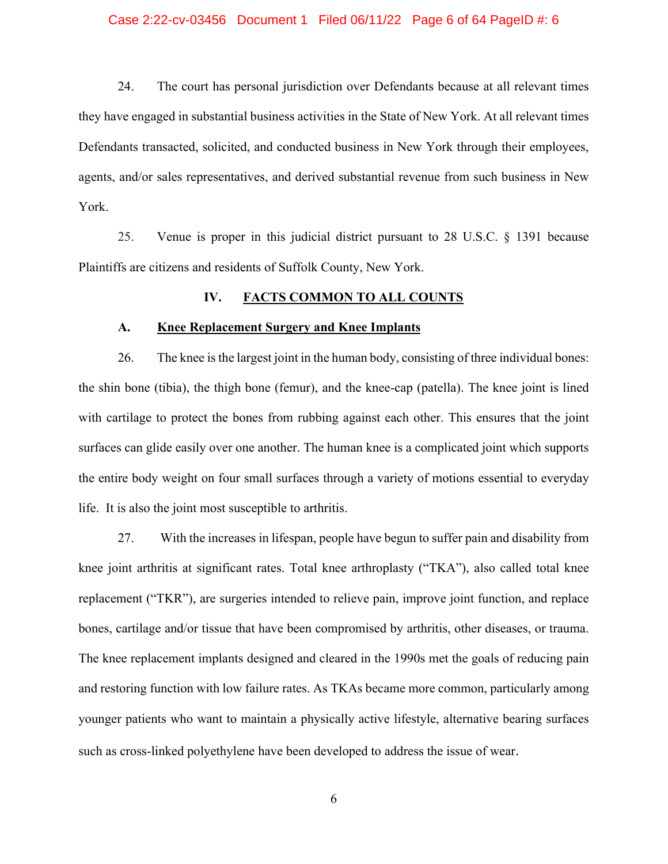### Case 2:22-cv-03456 Document 1 Filed 06/11/22 Page 6 of 64 PageID #: 6

24. The court has personal jurisdiction over Defendants because at all relevant times they have engaged in substantial business activities in the State of New York. At all relevant times Defendants transacted, solicited, and conducted business in New York through their employees, agents, and/or sales representatives, and derived substantial revenue from such business in New York.

 25. Venue is proper in this judicial district pursuant to 28 U.S.C. § 1391 because Plaintiffs are citizens and residents of Suffolk County, New York.

### **IV. FACTS COMMON TO ALL COUNTS**

### **A. Knee Replacement Surgery and Knee Implants**

26. The knee is the largest joint in the human body, consisting of three individual bones: the shin bone (tibia), the thigh bone (femur), and the knee-cap (patella). The knee joint is lined with cartilage to protect the bones from rubbing against each other. This ensures that the joint surfaces can glide easily over one another. The human knee is a complicated joint which supports the entire body weight on four small surfaces through a variety of motions essential to everyday life. It is also the joint most susceptible to arthritis.

27. With the increases in lifespan, people have begun to suffer pain and disability from knee joint arthritis at significant rates. Total knee arthroplasty ("TKA"), also called total knee replacement ("TKR"), are surgeries intended to relieve pain, improve joint function, and replace bones, cartilage and/or tissue that have been compromised by arthritis, other diseases, or trauma. The knee replacement implants designed and cleared in the 1990s met the goals of reducing pain and restoring function with low failure rates. As TKAs became more common, particularly among younger patients who want to maintain a physically active lifestyle, alternative bearing surfaces such as cross-linked polyethylene have been developed to address the issue of wear.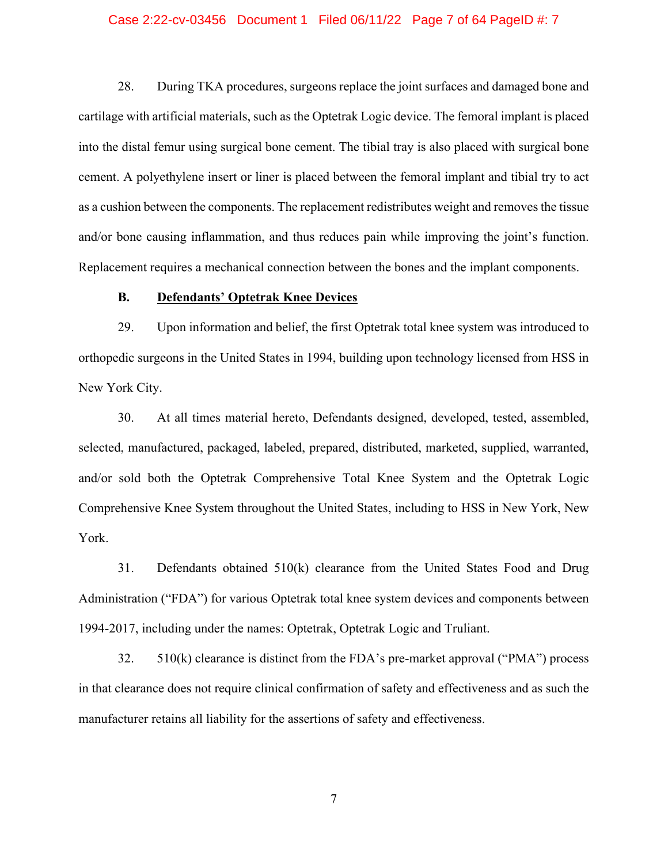### Case 2:22-cv-03456 Document 1 Filed 06/11/22 Page 7 of 64 PageID #: 7

28. During TKA procedures, surgeons replace the joint surfaces and damaged bone and cartilage with artificial materials, such as the Optetrak Logic device. The femoral implant is placed into the distal femur using surgical bone cement. The tibial tray is also placed with surgical bone cement. A polyethylene insert or liner is placed between the femoral implant and tibial try to act as a cushion between the components. The replacement redistributes weight and removes the tissue and/or bone causing inflammation, and thus reduces pain while improving the joint's function. Replacement requires a mechanical connection between the bones and the implant components.

### **B. Defendants' Optetrak Knee Devices**

 29. Upon information and belief, the first Optetrak total knee system was introduced to orthopedic surgeons in the United States in 1994, building upon technology licensed from HSS in New York City.

 30. At all times material hereto, Defendants designed, developed, tested, assembled, selected, manufactured, packaged, labeled, prepared, distributed, marketed, supplied, warranted, and/or sold both the Optetrak Comprehensive Total Knee System and the Optetrak Logic Comprehensive Knee System throughout the United States, including to HSS in New York, New York.

 31. Defendants obtained 510(k) clearance from the United States Food and Drug Administration ("FDA") for various Optetrak total knee system devices and components between 1994-2017, including under the names: Optetrak, Optetrak Logic and Truliant.

 32. 510(k) clearance is distinct from the FDA's pre-market approval ("PMA") process in that clearance does not require clinical confirmation of safety and effectiveness and as such the manufacturer retains all liability for the assertions of safety and effectiveness.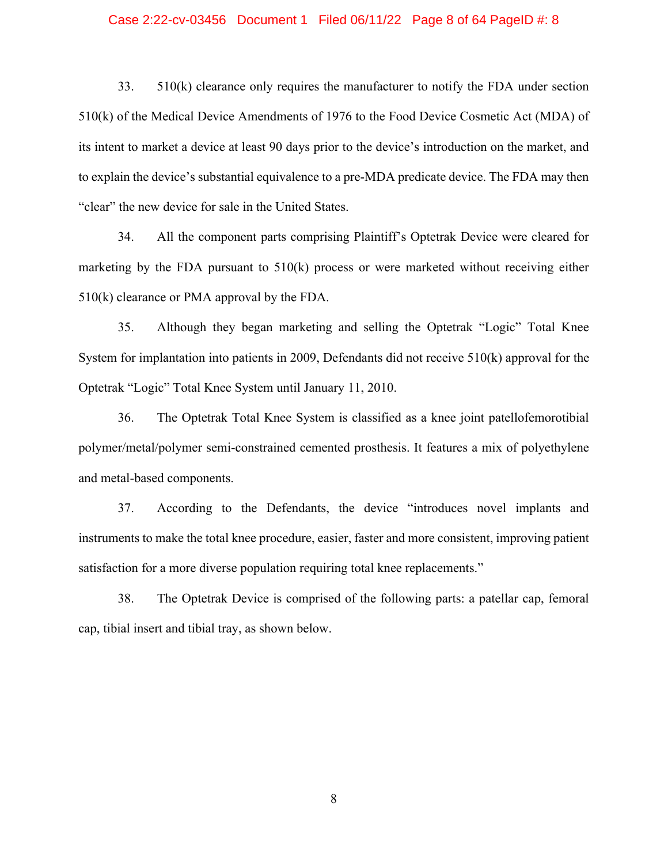### Case 2:22-cv-03456 Document 1 Filed 06/11/22 Page 8 of 64 PageID #: 8

 33. 510(k) clearance only requires the manufacturer to notify the FDA under section 510(k) of the Medical Device Amendments of 1976 to the Food Device Cosmetic Act (MDA) of its intent to market a device at least 90 days prior to the device's introduction on the market, and to explain the device's substantial equivalence to a pre-MDA predicate device. The FDA may then "clear" the new device for sale in the United States.

 34. All the component parts comprising Plaintiff's Optetrak Device were cleared for marketing by the FDA pursuant to 510(k) process or were marketed without receiving either 510(k) clearance or PMA approval by the FDA.

 35. Although they began marketing and selling the Optetrak "Logic" Total Knee System for implantation into patients in 2009, Defendants did not receive 510(k) approval for the Optetrak "Logic" Total Knee System until January 11, 2010.

 36. The Optetrak Total Knee System is classified as a knee joint patellofemorotibial polymer/metal/polymer semi-constrained cemented prosthesis. It features a mix of polyethylene and metal-based components.

 37. According to the Defendants, the device "introduces novel implants and instruments to make the total knee procedure, easier, faster and more consistent, improving patient satisfaction for a more diverse population requiring total knee replacements."

 38. The Optetrak Device is comprised of the following parts: a patellar cap, femoral cap, tibial insert and tibial tray, as shown below.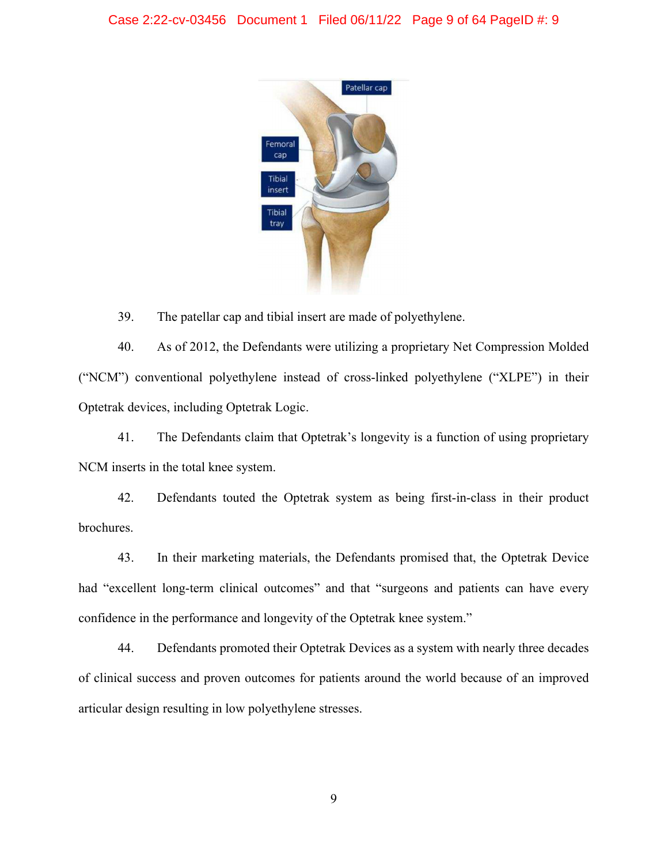

39. The patellar cap and tibial insert are made of polyethylene.

40. As of 2012, the Defendants were utilizing a proprietary Net Compression Molded ("NCM") conventional polyethylene instead of cross-linked polyethylene ("XLPE") in their Optetrak devices, including Optetrak Logic.

 41. The Defendants claim that Optetrak's longevity is a function of using proprietary NCM inserts in the total knee system.

 42. Defendants touted the Optetrak system as being first-in-class in their product brochures.

 43. In their marketing materials, the Defendants promised that, the Optetrak Device had "excellent long-term clinical outcomes" and that "surgeons and patients can have every confidence in the performance and longevity of the Optetrak knee system."

 44. Defendants promoted their Optetrak Devices as a system with nearly three decades of clinical success and proven outcomes for patients around the world because of an improved articular design resulting in low polyethylene stresses.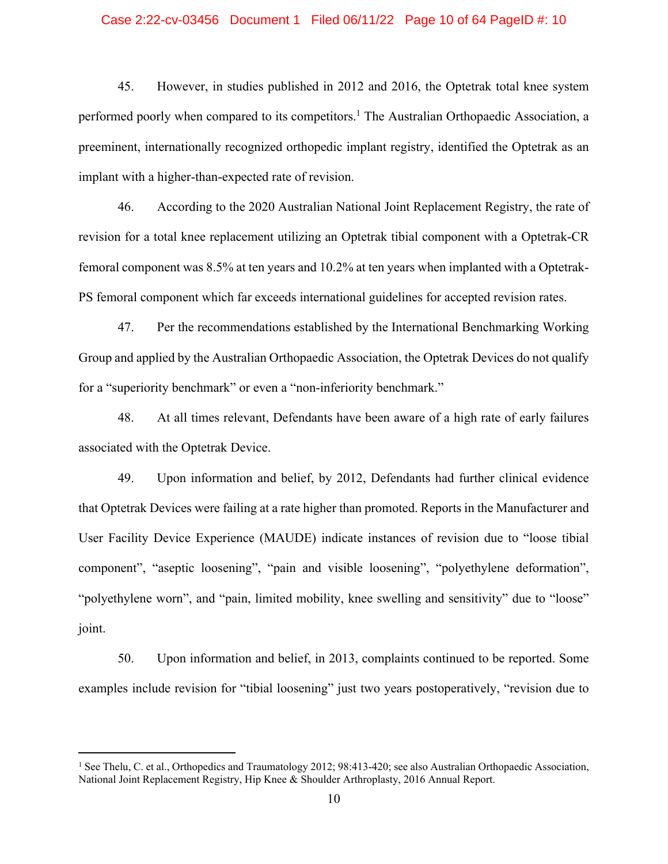### Case 2:22-cv-03456 Document 1 Filed 06/11/22 Page 10 of 64 PageID #: 10

 45. However, in studies published in 2012 and 2016, the Optetrak total knee system performed poorly when compared to its competitors.<sup>1</sup> The Australian Orthopaedic Association, a preeminent, internationally recognized orthopedic implant registry, identified the Optetrak as an implant with a higher-than-expected rate of revision.

 46. According to the 2020 Australian National Joint Replacement Registry, the rate of revision for a total knee replacement utilizing an Optetrak tibial component with a Optetrak-CR femoral component was 8.5% at ten years and 10.2% at ten years when implanted with a Optetrak-PS femoral component which far exceeds international guidelines for accepted revision rates.

 47. Per the recommendations established by the International Benchmarking Working Group and applied by the Australian Orthopaedic Association, the Optetrak Devices do not qualify for a "superiority benchmark" or even a "non-inferiority benchmark."

 48. At all times relevant, Defendants have been aware of a high rate of early failures associated with the Optetrak Device.

 49. Upon information and belief, by 2012, Defendants had further clinical evidence that Optetrak Devices were failing at a rate higher than promoted. Reports in the Manufacturer and User Facility Device Experience (MAUDE) indicate instances of revision due to "loose tibial component", "aseptic loosening", "pain and visible loosening", "polyethylene deformation", "polyethylene worn", and "pain, limited mobility, knee swelling and sensitivity" due to "loose" joint.

50. Upon information and belief, in 2013, complaints continued to be reported. Some examples include revision for "tibial loosening" just two years postoperatively, "revision due to

<sup>&</sup>lt;sup>1</sup> See Thelu, C. et al., Orthopedics and Traumatology 2012; 98:413-420; see also Australian Orthopaedic Association, National Joint Replacement Registry, Hip Knee & Shoulder Arthroplasty, 2016 Annual Report.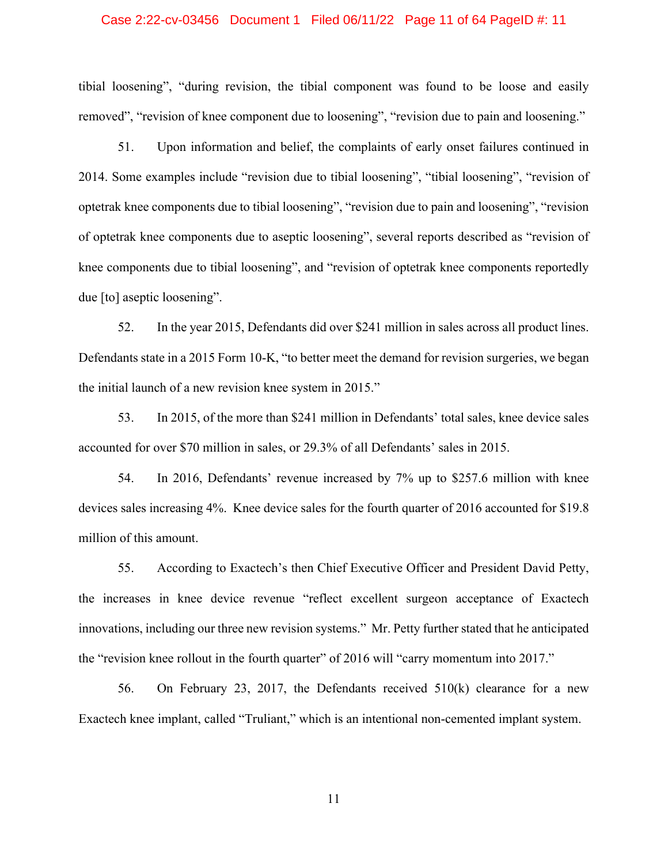### Case 2:22-cv-03456 Document 1 Filed 06/11/22 Page 11 of 64 PageID #: 11

tibial loosening", "during revision, the tibial component was found to be loose and easily removed", "revision of knee component due to loosening", "revision due to pain and loosening."

 51. Upon information and belief, the complaints of early onset failures continued in 2014. Some examples include "revision due to tibial loosening", "tibial loosening", "revision of optetrak knee components due to tibial loosening", "revision due to pain and loosening", "revision of optetrak knee components due to aseptic loosening", several reports described as "revision of knee components due to tibial loosening", and "revision of optetrak knee components reportedly due [to] aseptic loosening".

 52. In the year 2015, Defendants did over \$241 million in sales across all product lines. Defendants state in a 2015 Form 10-K, "to better meet the demand for revision surgeries, we began the initial launch of a new revision knee system in 2015."

53. In 2015, of the more than \$241 million in Defendants' total sales, knee device sales accounted for over \$70 million in sales, or 29.3% of all Defendants' sales in 2015.

 54. In 2016, Defendants' revenue increased by 7% up to \$257.6 million with knee devices sales increasing 4%. Knee device sales for the fourth quarter of 2016 accounted for \$19.8 million of this amount.

 55. According to Exactech's then Chief Executive Officer and President David Petty, the increases in knee device revenue "reflect excellent surgeon acceptance of Exactech innovations, including our three new revision systems." Mr. Petty further stated that he anticipated the "revision knee rollout in the fourth quarter" of 2016 will "carry momentum into 2017."

 56. On February 23, 2017, the Defendants received 510(k) clearance for a new Exactech knee implant, called "Truliant," which is an intentional non-cemented implant system.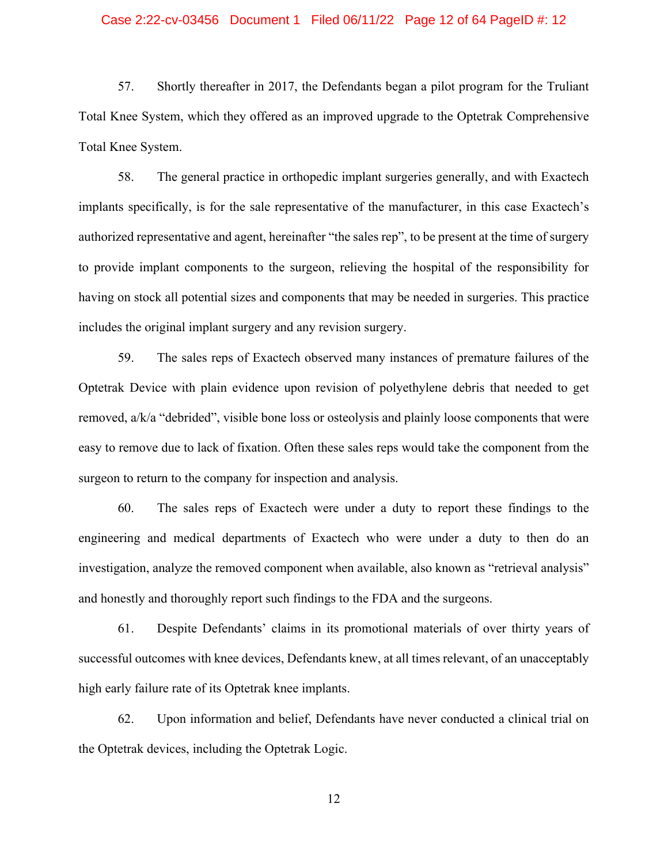### Case 2:22-cv-03456 Document 1 Filed 06/11/22 Page 12 of 64 PageID #: 12

 57. Shortly thereafter in 2017, the Defendants began a pilot program for the Truliant Total Knee System, which they offered as an improved upgrade to the Optetrak Comprehensive Total Knee System.

58. The general practice in orthopedic implant surgeries generally, and with Exactech implants specifically, is for the sale representative of the manufacturer, in this case Exactech's authorized representative and agent, hereinafter "the sales rep", to be present at the time of surgery to provide implant components to the surgeon, relieving the hospital of the responsibility for having on stock all potential sizes and components that may be needed in surgeries. This practice includes the original implant surgery and any revision surgery.

 59. The sales reps of Exactech observed many instances of premature failures of the Optetrak Device with plain evidence upon revision of polyethylene debris that needed to get removed, a/k/a "debrided", visible bone loss or osteolysis and plainly loose components that were easy to remove due to lack of fixation. Often these sales reps would take the component from the surgeon to return to the company for inspection and analysis.

 60. The sales reps of Exactech were under a duty to report these findings to the engineering and medical departments of Exactech who were under a duty to then do an investigation, analyze the removed component when available, also known as "retrieval analysis" and honestly and thoroughly report such findings to the FDA and the surgeons.

 61. Despite Defendants' claims in its promotional materials of over thirty years of successful outcomes with knee devices, Defendants knew, at all times relevant, of an unacceptably high early failure rate of its Optetrak knee implants.

 62. Upon information and belief, Defendants have never conducted a clinical trial on the Optetrak devices, including the Optetrak Logic.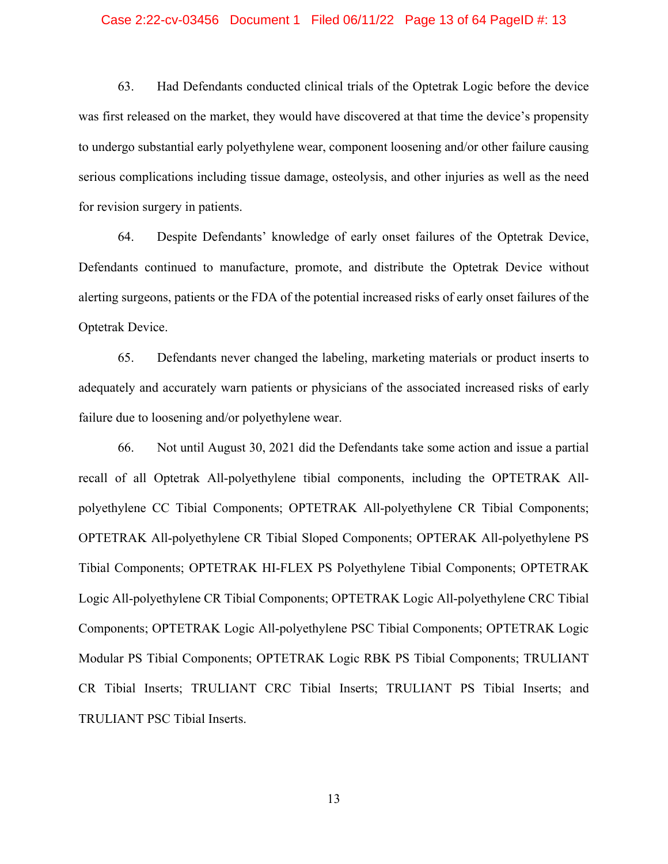### Case 2:22-cv-03456 Document 1 Filed 06/11/22 Page 13 of 64 PageID #: 13

63. Had Defendants conducted clinical trials of the Optetrak Logic before the device was first released on the market, they would have discovered at that time the device's propensity to undergo substantial early polyethylene wear, component loosening and/or other failure causing serious complications including tissue damage, osteolysis, and other injuries as well as the need for revision surgery in patients.

 64. Despite Defendants' knowledge of early onset failures of the Optetrak Device, Defendants continued to manufacture, promote, and distribute the Optetrak Device without alerting surgeons, patients or the FDA of the potential increased risks of early onset failures of the Optetrak Device.

 65. Defendants never changed the labeling, marketing materials or product inserts to adequately and accurately warn patients or physicians of the associated increased risks of early failure due to loosening and/or polyethylene wear.

 66. Not until August 30, 2021 did the Defendants take some action and issue a partial recall of all Optetrak All-polyethylene tibial components, including the OPTETRAK Allpolyethylene CC Tibial Components; OPTETRAK All-polyethylene CR Tibial Components; OPTETRAK All-polyethylene CR Tibial Sloped Components; OPTERAK All-polyethylene PS Tibial Components; OPTETRAK HI-FLEX PS Polyethylene Tibial Components; OPTETRAK Logic All-polyethylene CR Tibial Components; OPTETRAK Logic All-polyethylene CRC Tibial Components; OPTETRAK Logic All-polyethylene PSC Tibial Components; OPTETRAK Logic Modular PS Tibial Components; OPTETRAK Logic RBK PS Tibial Components; TRULIANT CR Tibial Inserts; TRULIANT CRC Tibial Inserts; TRULIANT PS Tibial Inserts; and TRULIANT PSC Tibial Inserts.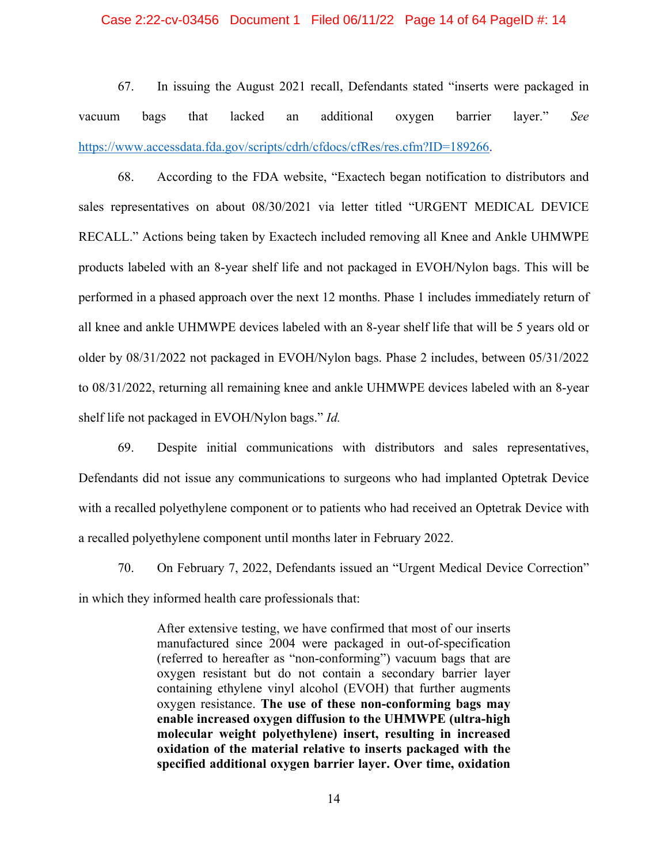### Case 2:22-cv-03456 Document 1 Filed 06/11/22 Page 14 of 64 PageID #: 14

 67. In issuing the August 2021 recall, Defendants stated "inserts were packaged in vacuum bags that lacked an additional oxygen barrier layer." *See* https://www.accessdata.fda.gov/scripts/cdrh/cfdocs/cfRes/res.cfm?ID=189266.

 68. According to the FDA website, "Exactech began notification to distributors and sales representatives on about 08/30/2021 via letter titled "URGENT MEDICAL DEVICE RECALL." Actions being taken by Exactech included removing all Knee and Ankle UHMWPE products labeled with an 8-year shelf life and not packaged in EVOH/Nylon bags. This will be performed in a phased approach over the next 12 months. Phase 1 includes immediately return of all knee and ankle UHMWPE devices labeled with an 8-year shelf life that will be 5 years old or older by 08/31/2022 not packaged in EVOH/Nylon bags. Phase 2 includes, between 05/31/2022 to 08/31/2022, returning all remaining knee and ankle UHMWPE devices labeled with an 8-year shelf life not packaged in EVOH/Nylon bags." *Id.*

 69. Despite initial communications with distributors and sales representatives, Defendants did not issue any communications to surgeons who had implanted Optetrak Device with a recalled polyethylene component or to patients who had received an Optetrak Device with a recalled polyethylene component until months later in February 2022.

 70. On February 7, 2022, Defendants issued an "Urgent Medical Device Correction" in which they informed health care professionals that:

> After extensive testing, we have confirmed that most of our inserts manufactured since 2004 were packaged in out-of-specification (referred to hereafter as "non-conforming") vacuum bags that are oxygen resistant but do not contain a secondary barrier layer containing ethylene vinyl alcohol (EVOH) that further augments oxygen resistance. **The use of these non-conforming bags may enable increased oxygen diffusion to the UHMWPE (ultra-high molecular weight polyethylene) insert, resulting in increased oxidation of the material relative to inserts packaged with the specified additional oxygen barrier layer. Over time, oxidation**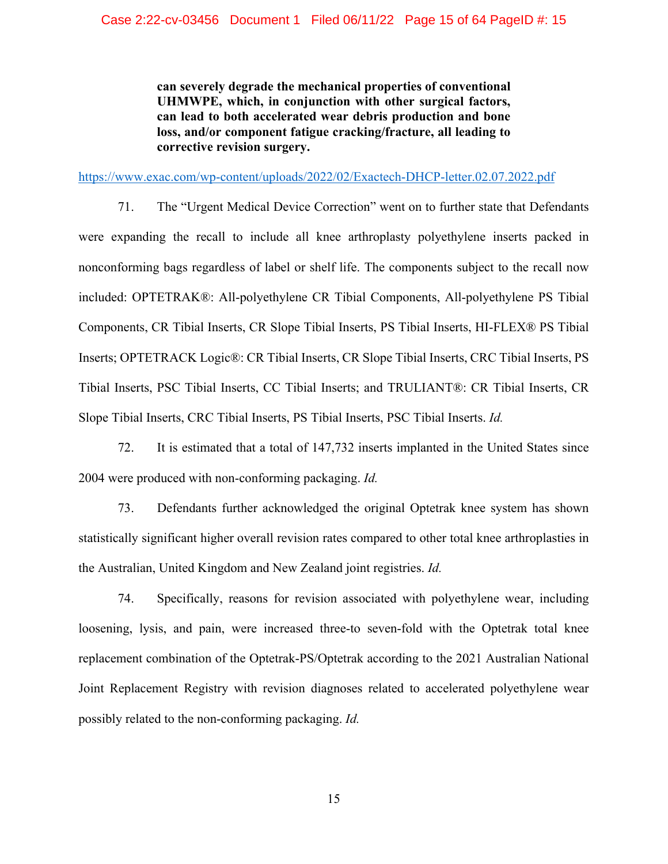**can severely degrade the mechanical properties of conventional UHMWPE, which, in conjunction with other surgical factors, can lead to both accelerated wear debris production and bone loss, and/or component fatigue cracking/fracture, all leading to corrective revision surgery.** 

https://www.exac.com/wp-content/uploads/2022/02/Exactech-DHCP-letter.02.07.2022.pdf

 71. The "Urgent Medical Device Correction" went on to further state that Defendants were expanding the recall to include all knee arthroplasty polyethylene inserts packed in nonconforming bags regardless of label or shelf life. The components subject to the recall now included: OPTETRAK®: All-polyethylene CR Tibial Components, All-polyethylene PS Tibial Components, CR Tibial Inserts, CR Slope Tibial Inserts, PS Tibial Inserts, HI-FLEX® PS Tibial Inserts; OPTETRACK Logic®: CR Tibial Inserts, CR Slope Tibial Inserts, CRC Tibial Inserts, PS Tibial Inserts, PSC Tibial Inserts, CC Tibial Inserts; and TRULIANT®: CR Tibial Inserts, CR Slope Tibial Inserts, CRC Tibial Inserts, PS Tibial Inserts, PSC Tibial Inserts. *Id.* 

72. It is estimated that a total of 147,732 inserts implanted in the United States since 2004 were produced with non-conforming packaging. *Id.*

73. Defendants further acknowledged the original Optetrak knee system has shown statistically significant higher overall revision rates compared to other total knee arthroplasties in the Australian, United Kingdom and New Zealand joint registries. *Id.* 

74. Specifically, reasons for revision associated with polyethylene wear, including loosening, lysis, and pain, were increased three-to seven-fold with the Optetrak total knee replacement combination of the Optetrak-PS/Optetrak according to the 2021 Australian National Joint Replacement Registry with revision diagnoses related to accelerated polyethylene wear possibly related to the non-conforming packaging. *Id.*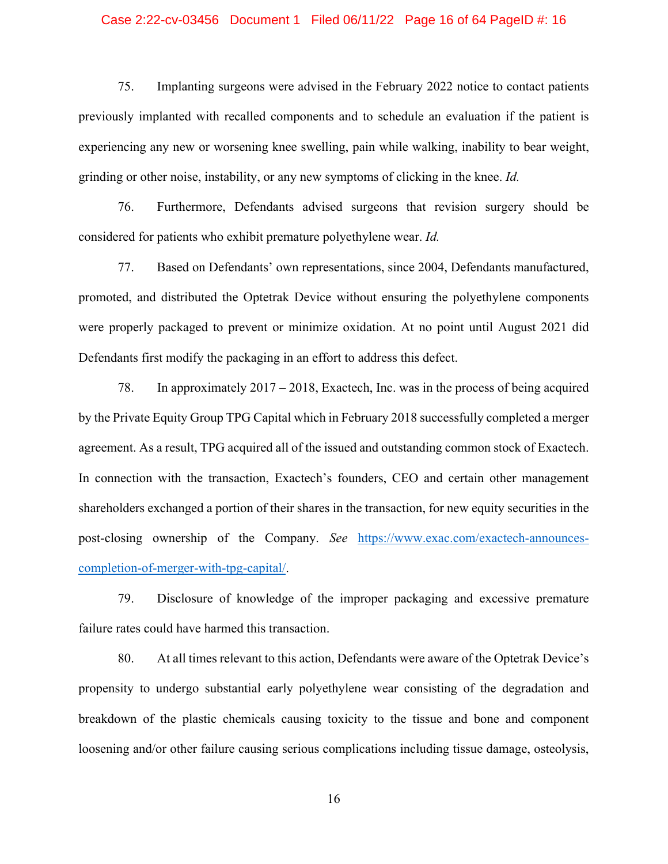### Case 2:22-cv-03456 Document 1 Filed 06/11/22 Page 16 of 64 PageID #: 16

75. Implanting surgeons were advised in the February 2022 notice to contact patients previously implanted with recalled components and to schedule an evaluation if the patient is experiencing any new or worsening knee swelling, pain while walking, inability to bear weight, grinding or other noise, instability, or any new symptoms of clicking in the knee. *Id.*

76. Furthermore, Defendants advised surgeons that revision surgery should be considered for patients who exhibit premature polyethylene wear. *Id.*

77. Based on Defendants' own representations, since 2004, Defendants manufactured, promoted, and distributed the Optetrak Device without ensuring the polyethylene components were properly packaged to prevent or minimize oxidation. At no point until August 2021 did Defendants first modify the packaging in an effort to address this defect.

 78. In approximately 2017 – 2018, Exactech, Inc. was in the process of being acquired by the Private Equity Group TPG Capital which in February 2018 successfully completed a merger agreement. As a result, TPG acquired all of the issued and outstanding common stock of Exactech. In connection with the transaction, Exactech's founders, CEO and certain other management shareholders exchanged a portion of their shares in the transaction, for new equity securities in the post-closing ownership of the Company. *See* https://www.exac.com/exactech-announcescompletion-of-merger-with-tpg-capital/.

 79. Disclosure of knowledge of the improper packaging and excessive premature failure rates could have harmed this transaction.

 80. At all times relevant to this action, Defendants were aware of the Optetrak Device's propensity to undergo substantial early polyethylene wear consisting of the degradation and breakdown of the plastic chemicals causing toxicity to the tissue and bone and component loosening and/or other failure causing serious complications including tissue damage, osteolysis,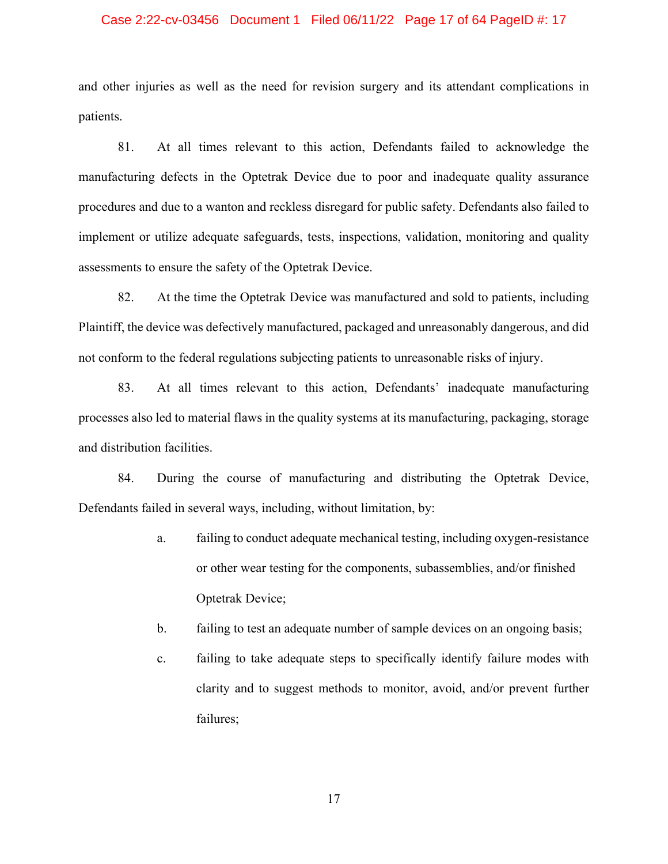### Case 2:22-cv-03456 Document 1 Filed 06/11/22 Page 17 of 64 PageID #: 17

and other injuries as well as the need for revision surgery and its attendant complications in patients.

 81. At all times relevant to this action, Defendants failed to acknowledge the manufacturing defects in the Optetrak Device due to poor and inadequate quality assurance procedures and due to a wanton and reckless disregard for public safety. Defendants also failed to implement or utilize adequate safeguards, tests, inspections, validation, monitoring and quality assessments to ensure the safety of the Optetrak Device.

 82. At the time the Optetrak Device was manufactured and sold to patients, including Plaintiff, the device was defectively manufactured, packaged and unreasonably dangerous, and did not conform to the federal regulations subjecting patients to unreasonable risks of injury.

 83. At all times relevant to this action, Defendants' inadequate manufacturing processes also led to material flaws in the quality systems at its manufacturing, packaging, storage and distribution facilities.

 84. During the course of manufacturing and distributing the Optetrak Device, Defendants failed in several ways, including, without limitation, by:

- a. failing to conduct adequate mechanical testing, including oxygen-resistance or other wear testing for the components, subassemblies, and/or finished Optetrak Device;
- b. failing to test an adequate number of sample devices on an ongoing basis;
- c. failing to take adequate steps to specifically identify failure modes with clarity and to suggest methods to monitor, avoid, and/or prevent further failures;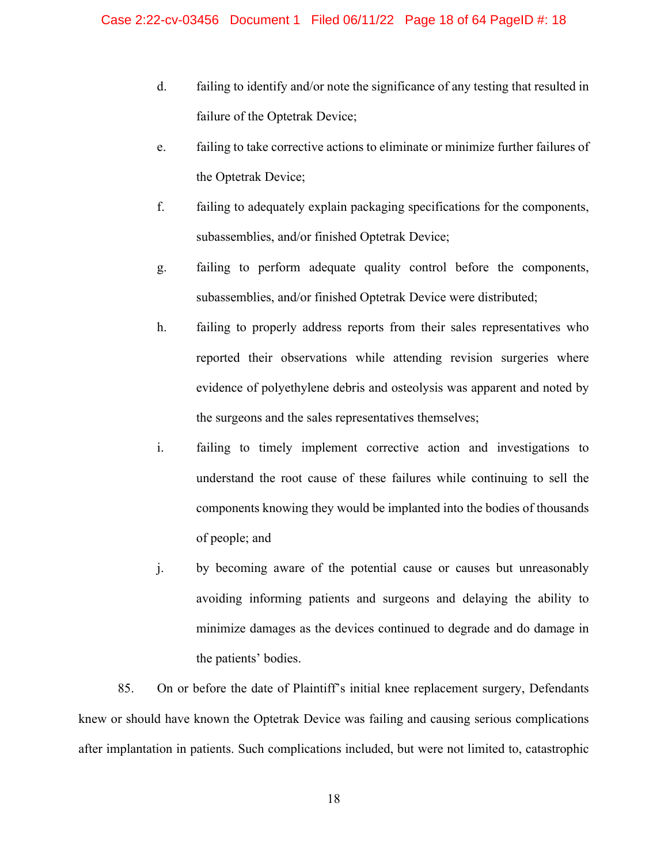- d. failing to identify and/or note the significance of any testing that resulted in failure of the Optetrak Device;
- e. failing to take corrective actions to eliminate or minimize further failures of the Optetrak Device;
- f. failing to adequately explain packaging specifications for the components, subassemblies, and/or finished Optetrak Device;
- g. failing to perform adequate quality control before the components, subassemblies, and/or finished Optetrak Device were distributed;
- h. failing to properly address reports from their sales representatives who reported their observations while attending revision surgeries where evidence of polyethylene debris and osteolysis was apparent and noted by the surgeons and the sales representatives themselves;
- i. failing to timely implement corrective action and investigations to understand the root cause of these failures while continuing to sell the components knowing they would be implanted into the bodies of thousands of people; and
- j. by becoming aware of the potential cause or causes but unreasonably avoiding informing patients and surgeons and delaying the ability to minimize damages as the devices continued to degrade and do damage in the patients' bodies.

 85. On or before the date of Plaintiff's initial knee replacement surgery, Defendants knew or should have known the Optetrak Device was failing and causing serious complications after implantation in patients. Such complications included, but were not limited to, catastrophic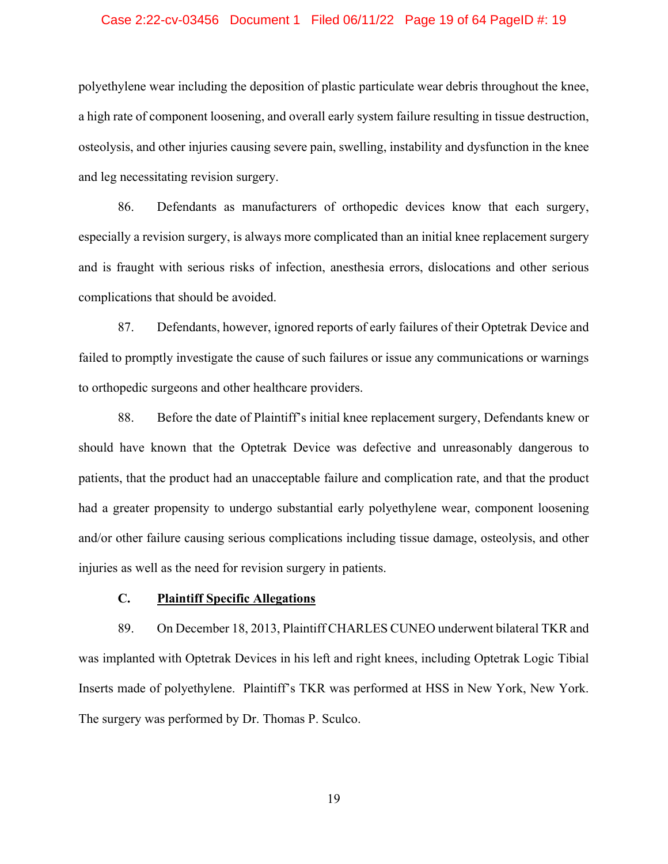### Case 2:22-cv-03456 Document 1 Filed 06/11/22 Page 19 of 64 PageID #: 19

polyethylene wear including the deposition of plastic particulate wear debris throughout the knee, a high rate of component loosening, and overall early system failure resulting in tissue destruction, osteolysis, and other injuries causing severe pain, swelling, instability and dysfunction in the knee and leg necessitating revision surgery.

 86. Defendants as manufacturers of orthopedic devices know that each surgery, especially a revision surgery, is always more complicated than an initial knee replacement surgery and is fraught with serious risks of infection, anesthesia errors, dislocations and other serious complications that should be avoided.

 87. Defendants, however, ignored reports of early failures of their Optetrak Device and failed to promptly investigate the cause of such failures or issue any communications or warnings to orthopedic surgeons and other healthcare providers.

 88. Before the date of Plaintiff's initial knee replacement surgery, Defendants knew or should have known that the Optetrak Device was defective and unreasonably dangerous to patients, that the product had an unacceptable failure and complication rate, and that the product had a greater propensity to undergo substantial early polyethylene wear, component loosening and/or other failure causing serious complications including tissue damage, osteolysis, and other injuries as well as the need for revision surgery in patients.

### **C. Plaintiff Specific Allegations**

 89. On December 18, 2013, Plaintiff CHARLES CUNEO underwent bilateral TKR and was implanted with Optetrak Devices in his left and right knees, including Optetrak Logic Tibial Inserts made of polyethylene. Plaintiff's TKR was performed at HSS in New York, New York. The surgery was performed by Dr. Thomas P. Sculco.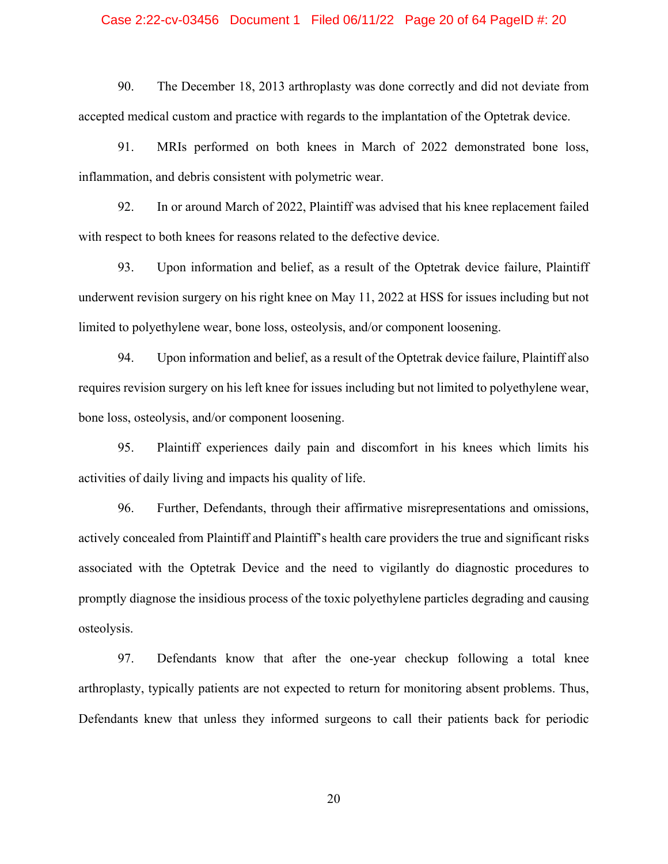### Case 2:22-cv-03456 Document 1 Filed 06/11/22 Page 20 of 64 PageID #: 20

 90. The December 18, 2013 arthroplasty was done correctly and did not deviate from accepted medical custom and practice with regards to the implantation of the Optetrak device.

91. MRIs performed on both knees in March of 2022 demonstrated bone loss, inflammation, and debris consistent with polymetric wear.

 92. In or around March of 2022, Plaintiff was advised that his knee replacement failed with respect to both knees for reasons related to the defective device.

 93. Upon information and belief, as a result of the Optetrak device failure, Plaintiff underwent revision surgery on his right knee on May 11, 2022 at HSS for issues including but not limited to polyethylene wear, bone loss, osteolysis, and/or component loosening.

 94. Upon information and belief, as a result of the Optetrak device failure, Plaintiff also requires revision surgery on his left knee for issues including but not limited to polyethylene wear, bone loss, osteolysis, and/or component loosening.

 95. Plaintiff experiences daily pain and discomfort in his knees which limits his activities of daily living and impacts his quality of life.

 96. Further, Defendants, through their affirmative misrepresentations and omissions, actively concealed from Plaintiff and Plaintiff's health care providers the true and significant risks associated with the Optetrak Device and the need to vigilantly do diagnostic procedures to promptly diagnose the insidious process of the toxic polyethylene particles degrading and causing osteolysis.

97. Defendants know that after the one-year checkup following a total knee arthroplasty, typically patients are not expected to return for monitoring absent problems. Thus, Defendants knew that unless they informed surgeons to call their patients back for periodic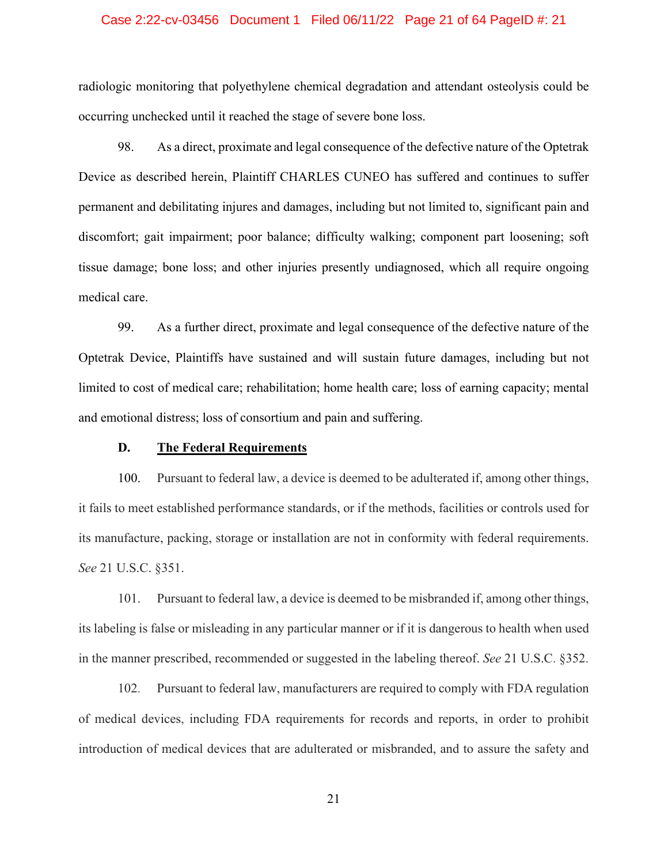### Case 2:22-cv-03456 Document 1 Filed 06/11/22 Page 21 of 64 PageID #: 21

radiologic monitoring that polyethylene chemical degradation and attendant osteolysis could be occurring unchecked until it reached the stage of severe bone loss.

98. As a direct, proximate and legal consequence of the defective nature of the Optetrak Device as described herein, Plaintiff CHARLES CUNEO has suffered and continues to suffer permanent and debilitating injures and damages, including but not limited to, significant pain and discomfort; gait impairment; poor balance; difficulty walking; component part loosening; soft tissue damage; bone loss; and other injuries presently undiagnosed, which all require ongoing medical care.

99. As a further direct, proximate and legal consequence of the defective nature of the Optetrak Device, Plaintiffs have sustained and will sustain future damages, including but not limited to cost of medical care; rehabilitation; home health care; loss of earning capacity; mental and emotional distress; loss of consortium and pain and suffering.

### **D. The Federal Requirements**

100. Pursuant to federal law, a device is deemed to be adulterated if, among other things, it fails to meet established performance standards, or if the methods, facilities or controls used for its manufacture, packing, storage or installation are not in conformity with federal requirements. *See* 21 U.S.C. §351.

101. Pursuant to federal law, a device is deemed to be misbranded if, among other things, its labeling is false or misleading in any particular manner or if it is dangerous to health when used in the manner prescribed, recommended or suggested in the labeling thereof. *See* 21 U.S.C. §352.

102. Pursuant to federal law, manufacturers are required to comply with FDA regulation of medical devices, including FDA requirements for records and reports, in order to prohibit introduction of medical devices that are adulterated or misbranded, and to assure the safety and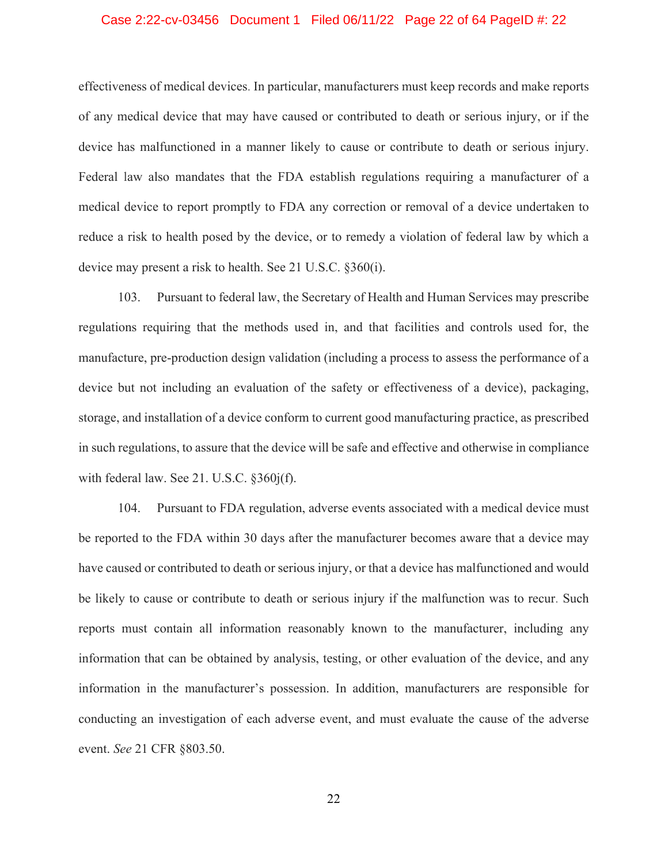### Case 2:22-cv-03456 Document 1 Filed 06/11/22 Page 22 of 64 PageID #: 22

effectiveness of medical devices. In particular, manufacturers must keep records and make reports of any medical device that may have caused or contributed to death or serious injury, or if the device has malfunctioned in a manner likely to cause or contribute to death or serious injury. Federal law also mandates that the FDA establish regulations requiring a manufacturer of a medical device to report promptly to FDA any correction or removal of a device undertaken to reduce a risk to health posed by the device, or to remedy a violation of federal law by which a device may present a risk to health. See 21 U.S.C. §360(i).

103. Pursuant to federal law, the Secretary of Health and Human Services may prescribe regulations requiring that the methods used in, and that facilities and controls used for, the manufacture, pre-production design validation (including a process to assess the performance of a device but not including an evaluation of the safety or effectiveness of a device), packaging, storage, and installation of a device conform to current good manufacturing practice, as prescribed in such regulations, to assure that the device will be safe and effective and otherwise in compliance with federal law. See 21. U.S.C. §360j(f).

104. Pursuant to FDA regulation, adverse events associated with a medical device must be reported to the FDA within 30 days after the manufacturer becomes aware that a device may have caused or contributed to death or serious injury, or that a device has malfunctioned and would be likely to cause or contribute to death or serious injury if the malfunction was to recur. Such reports must contain all information reasonably known to the manufacturer, including any information that can be obtained by analysis, testing, or other evaluation of the device, and any information in the manufacturer's possession. In addition, manufacturers are responsible for conducting an investigation of each adverse event, and must evaluate the cause of the adverse event. *See* 21 CFR §803.50.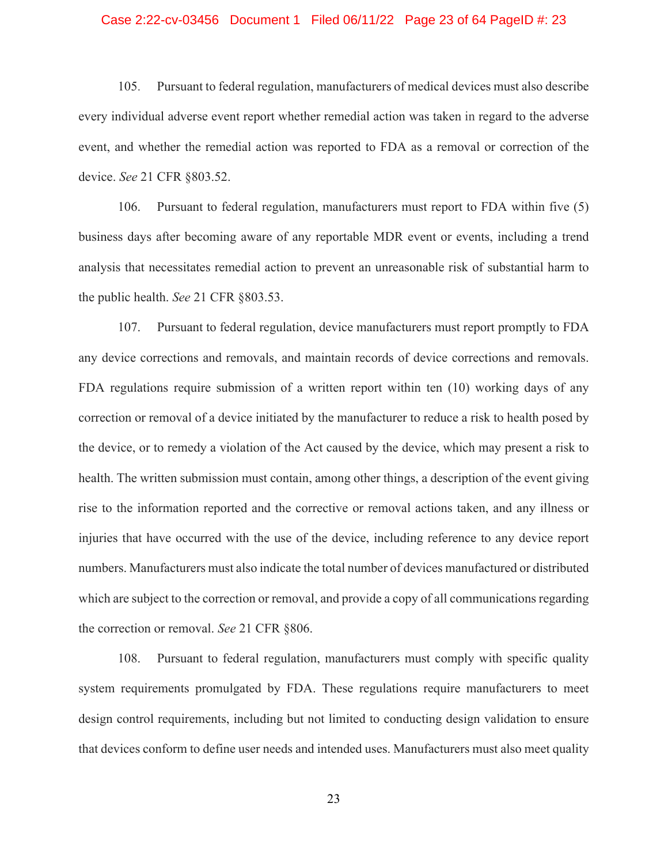### Case 2:22-cv-03456 Document 1 Filed 06/11/22 Page 23 of 64 PageID #: 23

105. Pursuant to federal regulation, manufacturers of medical devices must also describe every individual adverse event report whether remedial action was taken in regard to the adverse event, and whether the remedial action was reported to FDA as a removal or correction of the device. *See* 21 CFR §803.52.

106. Pursuant to federal regulation, manufacturers must report to FDA within five (5) business days after becoming aware of any reportable MDR event or events, including a trend analysis that necessitates remedial action to prevent an unreasonable risk of substantial harm to the public health. *See* 21 CFR §803.53.

107. Pursuant to federal regulation, device manufacturers must report promptly to FDA any device corrections and removals, and maintain records of device corrections and removals. FDA regulations require submission of a written report within ten (10) working days of any correction or removal of a device initiated by the manufacturer to reduce a risk to health posed by the device, or to remedy a violation of the Act caused by the device, which may present a risk to health. The written submission must contain, among other things, a description of the event giving rise to the information reported and the corrective or removal actions taken, and any illness or injuries that have occurred with the use of the device, including reference to any device report numbers. Manufacturers must also indicate the total number of devices manufactured or distributed which are subject to the correction or removal, and provide a copy of all communications regarding the correction or removal. *See* 21 CFR §806.

108. Pursuant to federal regulation, manufacturers must comply with specific quality system requirements promulgated by FDA. These regulations require manufacturers to meet design control requirements, including but not limited to conducting design validation to ensure that devices conform to define user needs and intended uses. Manufacturers must also meet quality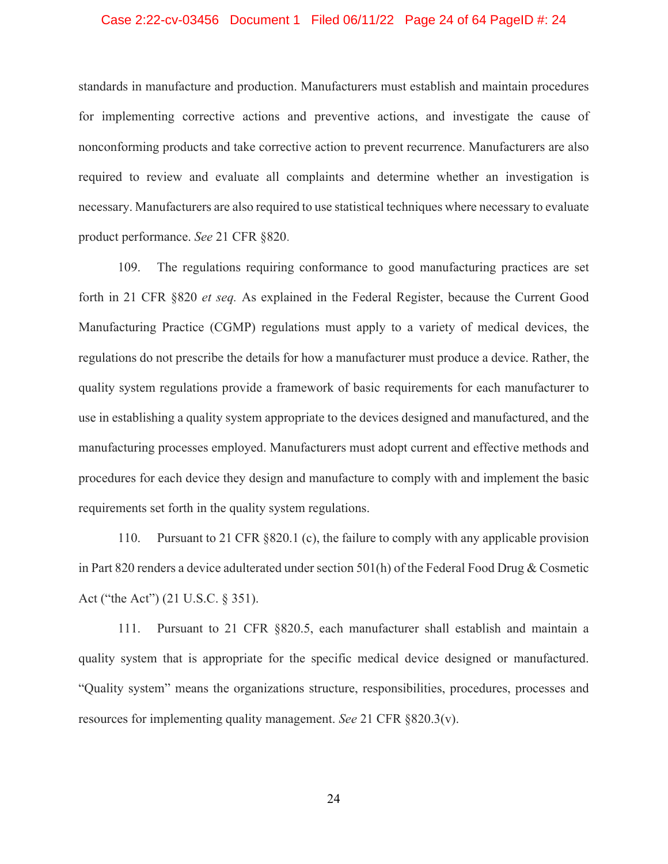### Case 2:22-cv-03456 Document 1 Filed 06/11/22 Page 24 of 64 PageID #: 24

standards in manufacture and production. Manufacturers must establish and maintain procedures for implementing corrective actions and preventive actions, and investigate the cause of nonconforming products and take corrective action to prevent recurrence. Manufacturers are also required to review and evaluate all complaints and determine whether an investigation is necessary. Manufacturers are also required to use statistical techniques where necessary to evaluate product performance. *See* 21 CFR §820.

109. The regulations requiring conformance to good manufacturing practices are set forth in 21 CFR §820 *et seq.* As explained in the Federal Register, because the Current Good Manufacturing Practice (CGMP) regulations must apply to a variety of medical devices, the regulations do not prescribe the details for how a manufacturer must produce a device. Rather, the quality system regulations provide a framework of basic requirements for each manufacturer to use in establishing a quality system appropriate to the devices designed and manufactured, and the manufacturing processes employed. Manufacturers must adopt current and effective methods and procedures for each device they design and manufacture to comply with and implement the basic requirements set forth in the quality system regulations.

110. Pursuant to 21 CFR §820.1 (c), the failure to comply with any applicable provision in Part 820 renders a device adulterated under section 501(h) of the Federal Food Drug & Cosmetic Act ("the Act") (21 U.S.C. § 351).

111. Pursuant to 21 CFR §820.5, each manufacturer shall establish and maintain a quality system that is appropriate for the specific medical device designed or manufactured. "Quality system" means the organizations structure, responsibilities, procedures, processes and resources for implementing quality management. *See* 21 CFR §820.3(v).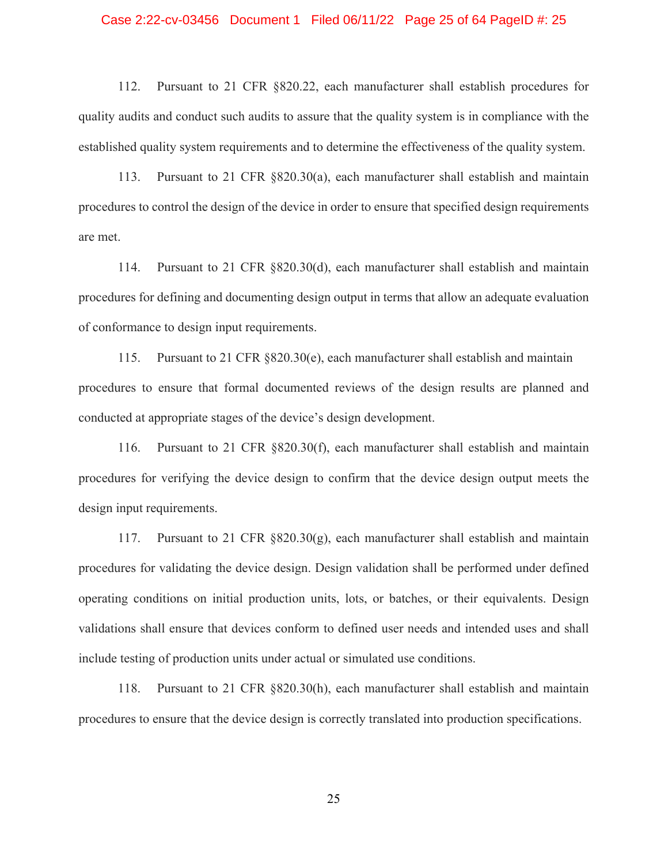### Case 2:22-cv-03456 Document 1 Filed 06/11/22 Page 25 of 64 PageID #: 25

112. Pursuant to 21 CFR §820.22, each manufacturer shall establish procedures for quality audits and conduct such audits to assure that the quality system is in compliance with the established quality system requirements and to determine the effectiveness of the quality system.

113. Pursuant to 21 CFR §820.30(a), each manufacturer shall establish and maintain procedures to control the design of the device in order to ensure that specified design requirements are met.

114. Pursuant to 21 CFR §820.30(d), each manufacturer shall establish and maintain procedures for defining and documenting design output in terms that allow an adequate evaluation of conformance to design input requirements.

115. Pursuant to 21 CFR §820.30(e), each manufacturer shall establish and maintain procedures to ensure that formal documented reviews of the design results are planned and conducted at appropriate stages of the device's design development.

116. Pursuant to 21 CFR §820.30(f), each manufacturer shall establish and maintain procedures for verifying the device design to confirm that the device design output meets the design input requirements.

117. Pursuant to 21 CFR  $8820.30(g)$ , each manufacturer shall establish and maintain procedures for validating the device design. Design validation shall be performed under defined operating conditions on initial production units, lots, or batches, or their equivalents. Design validations shall ensure that devices conform to defined user needs and intended uses and shall include testing of production units under actual or simulated use conditions.

118. Pursuant to 21 CFR §820.30(h), each manufacturer shall establish and maintain procedures to ensure that the device design is correctly translated into production specifications.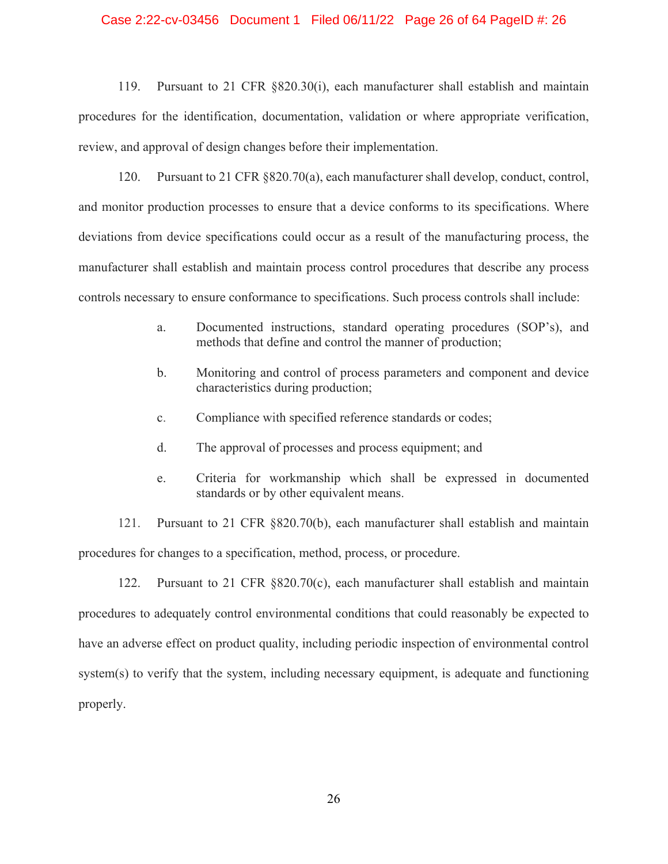### Case 2:22-cv-03456 Document 1 Filed 06/11/22 Page 26 of 64 PageID #: 26

119. Pursuant to 21 CFR §820.30(i), each manufacturer shall establish and maintain procedures for the identification, documentation, validation or where appropriate verification, review, and approval of design changes before their implementation.

120. Pursuant to 21 CFR §820.70(a), each manufacturer shall develop, conduct, control, and monitor production processes to ensure that a device conforms to its specifications. Where deviations from device specifications could occur as a result of the manufacturing process, the manufacturer shall establish and maintain process control procedures that describe any process controls necessary to ensure conformance to specifications. Such process controls shall include:

- a. Documented instructions, standard operating procedures (SOP's), and methods that define and control the manner of production;
- b. Monitoring and control of process parameters and component and device characteristics during production;
- c. Compliance with specified reference standards or codes;
- d. The approval of processes and process equipment; and
- e. Criteria for workmanship which shall be expressed in documented standards or by other equivalent means.

121. Pursuant to 21 CFR §820.70(b), each manufacturer shall establish and maintain procedures for changes to a specification, method, process, or procedure.

122. Pursuant to 21 CFR §820.70(c), each manufacturer shall establish and maintain procedures to adequately control environmental conditions that could reasonably be expected to have an adverse effect on product quality, including periodic inspection of environmental control system(s) to verify that the system, including necessary equipment, is adequate and functioning properly.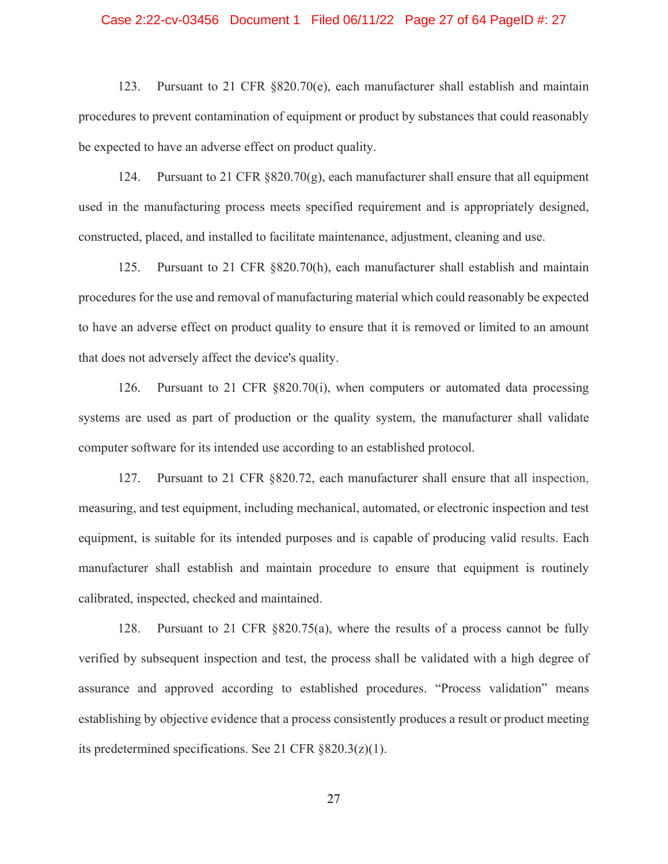### Case 2:22-cv-03456 Document 1 Filed 06/11/22 Page 27 of 64 PageID #: 27

123. Pursuant to 21 CFR §820.70(e), each manufacturer shall establish and maintain procedures to prevent contamination of equipment or product by substances that could reasonably be expected to have an adverse effect on product quality.

124. Pursuant to 21 CFR  $\S 820.70(g)$ , each manufacturer shall ensure that all equipment used in the manufacturing process meets specified requirement and is appropriately designed, constructed, placed, and installed to facilitate maintenance, adjustment, cleaning and use.

125. Pursuant to 21 CFR §820.70(h), each manufacturer shall establish and maintain procedures for the use and removal of manufacturing material which could reasonably be expected to have an adverse effect on product quality to ensure that it is removed or limited to an amount that does not adversely affect the device's quality.

126. Pursuant to 21 CFR §820.70(i), when computers or automated data processing systems are used as part of production or the quality system, the manufacturer shall validate computer software for its intended use according to an established protocol.

127. Pursuant to 21 CFR §820.72, each manufacturer shall ensure that all inspection, measuring, and test equipment, including mechanical, automated, or electronic inspection and test equipment, is suitable for its intended purposes and is capable of producing valid results. Each manufacturer shall establish and maintain procedure to ensure that equipment is routinely calibrated, inspected, checked and maintained.

128. Pursuant to 21 CFR §820.75(a), where the results of a process cannot be fully verified by subsequent inspection and test, the process shall be validated with a high degree of assurance and approved according to established procedures. "Process validation" means establishing by objective evidence that a process consistently produces a result or product meeting its predetermined specifications. See 21 CFR §820.3(z)(1).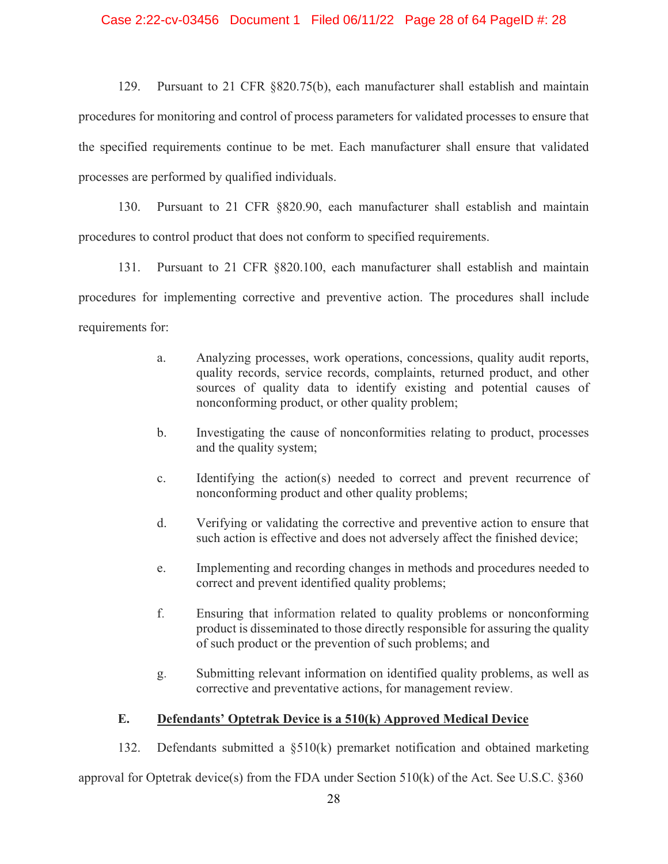### Case 2:22-cv-03456 Document 1 Filed 06/11/22 Page 28 of 64 PageID #: 28

129. Pursuant to 21 CFR §820.75(b), each manufacturer shall establish and maintain procedures for monitoring and control of process parameters for validated processes to ensure that the specified requirements continue to be met. Each manufacturer shall ensure that validated processes are performed by qualified individuals.

130. Pursuant to 21 CFR §820.90, each manufacturer shall establish and maintain procedures to control product that does not conform to specified requirements.

131. Pursuant to 21 CFR §820.100, each manufacturer shall establish and maintain procedures for implementing corrective and preventive action. The procedures shall include requirements for:

- a. Analyzing processes, work operations, concessions, quality audit reports, quality records, service records, complaints, returned product, and other sources of quality data to identify existing and potential causes of nonconforming product, or other quality problem;
- b. Investigating the cause of nonconformities relating to product, processes and the quality system;
- c. Identifying the action(s) needed to correct and prevent recurrence of nonconforming product and other quality problems;
- d. Verifying or validating the corrective and preventive action to ensure that such action is effective and does not adversely affect the finished device;
- e. Implementing and recording changes in methods and procedures needed to correct and prevent identified quality problems;
- f. Ensuring that information related to quality problems or nonconforming product is disseminated to those directly responsible for assuring the quality of such product or the prevention of such problems; and
- g. Submitting relevant information on identified quality problems, as well as corrective and preventative actions, for management review.

# **E. Defendants' Optetrak Device is a 510(k) Approved Medical Device**

132. Defendants submitted a §510(k) premarket notification and obtained marketing

approval for Optetrak device(s) from the FDA under Section 510(k) of the Act. See U.S.C. §360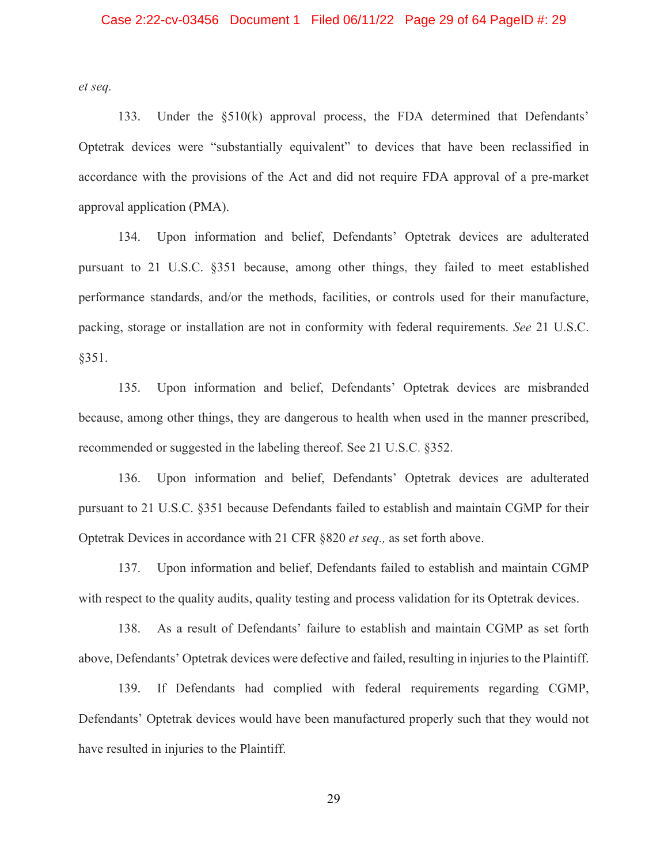*et seq.* 

133. Under the §510(k) approval process, the FDA determined that Defendants' Optetrak devices were "substantially equivalent" to devices that have been reclassified in accordance with the provisions of the Act and did not require FDA approval of a pre-market approval application (PMA).

134. Upon information and belief, Defendants' Optetrak devices are adulterated pursuant to 21 U.S.C. §351 because, among other things, they failed to meet established performance standards, and/or the methods, facilities, or controls used for their manufacture, packing, storage or installation are not in conformity with federal requirements. *See* 21 U.S.C. §351.

135. Upon information and belief, Defendants' Optetrak devices are misbranded because, among other things, they are dangerous to health when used in the manner prescribed, recommended or suggested in the labeling thereof. See 21 U.S.C. §352.

136. Upon information and belief, Defendants' Optetrak devices are adulterated pursuant to 21 U.S.C. §351 because Defendants failed to establish and maintain CGMP for their Optetrak Devices in accordance with 21 CFR §820 *et seq.,* as set forth above.

137. Upon information and belief, Defendants failed to establish and maintain CGMP with respect to the quality audits, quality testing and process validation for its Optetrak devices.

138. As a result of Defendants' failure to establish and maintain CGMP as set forth above, Defendants' Optetrak devices were defective and failed, resulting in injuries to the Plaintiff.

139. If Defendants had complied with federal requirements regarding CGMP, Defendants' Optetrak devices would have been manufactured properly such that they would not have resulted in injuries to the Plaintiff.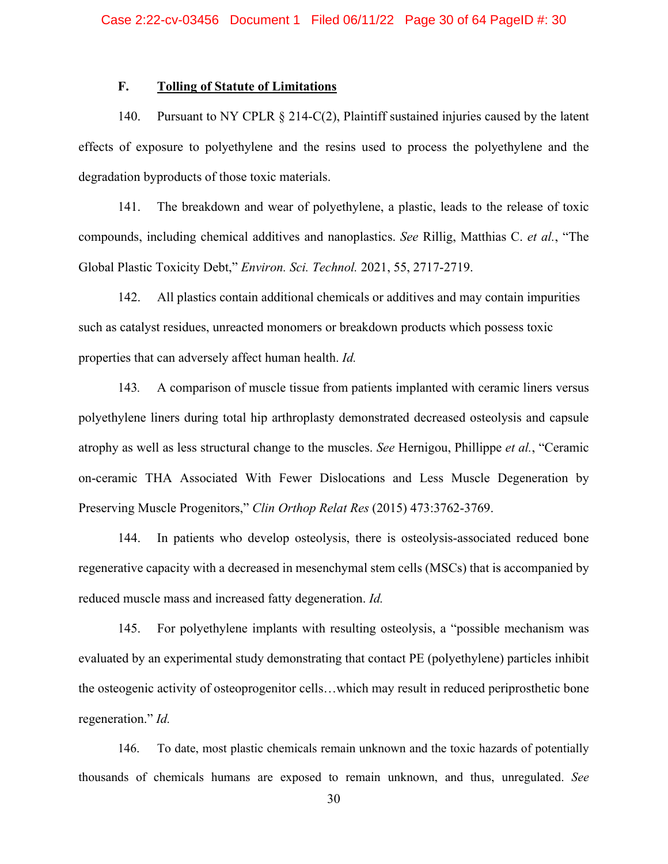## **F. Tolling of Statute of Limitations**

140. Pursuant to NY CPLR § 214-C(2), Plaintiff sustained injuries caused by the latent effects of exposure to polyethylene and the resins used to process the polyethylene and the degradation byproducts of those toxic materials.

141. The breakdown and wear of polyethylene, a plastic, leads to the release of toxic compounds, including chemical additives and nanoplastics. *See* Rillig, Matthias C. *et al.*, "The Global Plastic Toxicity Debt," *Environ. Sci. Technol.* 2021, 55, 2717-2719.

142. All plastics contain additional chemicals or additives and may contain impurities such as catalyst residues, unreacted monomers or breakdown products which possess toxic properties that can adversely affect human health. *Id.* 

143*.* A comparison of muscle tissue from patients implanted with ceramic liners versus polyethylene liners during total hip arthroplasty demonstrated decreased osteolysis and capsule atrophy as well as less structural change to the muscles. *See* Hernigou, Phillippe *et al.*, "Ceramic on-ceramic THA Associated With Fewer Dislocations and Less Muscle Degeneration by Preserving Muscle Progenitors," *Clin Orthop Relat Res* (2015) 473:3762-3769.

144. In patients who develop osteolysis, there is osteolysis-associated reduced bone regenerative capacity with a decreased in mesenchymal stem cells (MSCs) that is accompanied by reduced muscle mass and increased fatty degeneration. *Id.*

145. For polyethylene implants with resulting osteolysis, a "possible mechanism was evaluated by an experimental study demonstrating that contact PE (polyethylene) particles inhibit the osteogenic activity of osteoprogenitor cells…which may result in reduced periprosthetic bone regeneration." *Id.*

146. To date, most plastic chemicals remain unknown and the toxic hazards of potentially thousands of chemicals humans are exposed to remain unknown, and thus, unregulated. *See*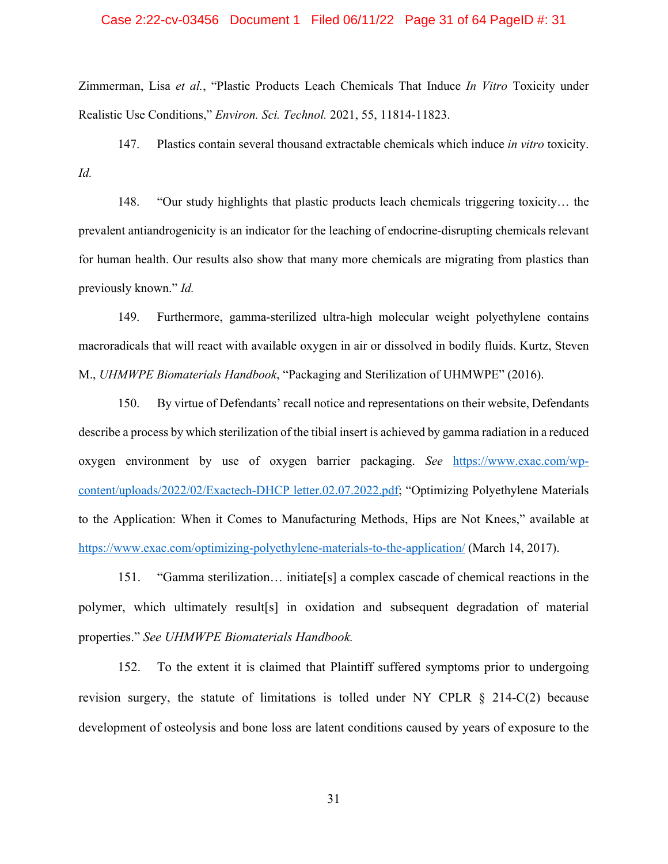### Case 2:22-cv-03456 Document 1 Filed 06/11/22 Page 31 of 64 PageID #: 31

Zimmerman, Lisa *et al.*, "Plastic Products Leach Chemicals That Induce *In Vitro* Toxicity under Realistic Use Conditions," *Environ. Sci. Technol.* 2021, 55, 11814-11823.

147. Plastics contain several thousand extractable chemicals which induce *in vitro* toxicity. *Id.* 

148. "Our study highlights that plastic products leach chemicals triggering toxicity… the prevalent antiandrogenicity is an indicator for the leaching of endocrine-disrupting chemicals relevant for human health. Our results also show that many more chemicals are migrating from plastics than previously known." *Id.*

149. Furthermore, gamma-sterilized ultra-high molecular weight polyethylene contains macroradicals that will react with available oxygen in air or dissolved in bodily fluids. Kurtz, Steven M., *UHMWPE Biomaterials Handbook*, "Packaging and Sterilization of UHMWPE" (2016).

150. By virtue of Defendants' recall notice and representations on their website, Defendants describe a process by which sterilization of the tibial insert is achieved by gamma radiation in a reduced oxygen environment by use of oxygen barrier packaging. *See* https://www.exac.com/wpcontent/uploads/2022/02/Exactech-DHCP letter.02.07.2022.pdf; "Optimizing Polyethylene Materials to the Application: When it Comes to Manufacturing Methods, Hips are Not Knees," available at https://www.exac.com/optimizing-polyethylene-materials-to-the-application/ (March 14, 2017).

151. "Gamma sterilization… initiate[s] a complex cascade of chemical reactions in the polymer, which ultimately result[s] in oxidation and subsequent degradation of material properties." *See UHMWPE Biomaterials Handbook.*

152. To the extent it is claimed that Plaintiff suffered symptoms prior to undergoing revision surgery, the statute of limitations is tolled under NY CPLR § 214-C(2) because development of osteolysis and bone loss are latent conditions caused by years of exposure to the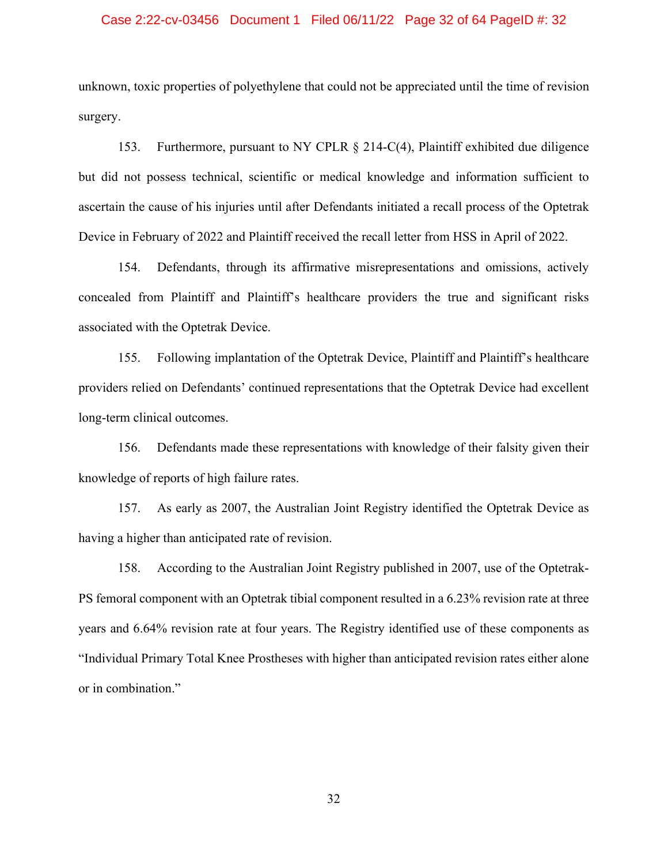### Case 2:22-cv-03456 Document 1 Filed 06/11/22 Page 32 of 64 PageID #: 32

unknown, toxic properties of polyethylene that could not be appreciated until the time of revision surgery.

153. Furthermore, pursuant to NY CPLR § 214-C(4), Plaintiff exhibited due diligence but did not possess technical, scientific or medical knowledge and information sufficient to ascertain the cause of his injuries until after Defendants initiated a recall process of the Optetrak Device in February of 2022 and Plaintiff received the recall letter from HSS in April of 2022.

154. Defendants, through its affirmative misrepresentations and omissions, actively concealed from Plaintiff and Plaintiff's healthcare providers the true and significant risks associated with the Optetrak Device.

155. Following implantation of the Optetrak Device, Plaintiff and Plaintiff's healthcare providers relied on Defendants' continued representations that the Optetrak Device had excellent long-term clinical outcomes.

156. Defendants made these representations with knowledge of their falsity given their knowledge of reports of high failure rates.

157. As early as 2007, the Australian Joint Registry identified the Optetrak Device as having a higher than anticipated rate of revision.

158. According to the Australian Joint Registry published in 2007, use of the Optetrak-PS femoral component with an Optetrak tibial component resulted in a 6.23% revision rate at three years and 6.64% revision rate at four years. The Registry identified use of these components as "Individual Primary Total Knee Prostheses with higher than anticipated revision rates either alone or in combination."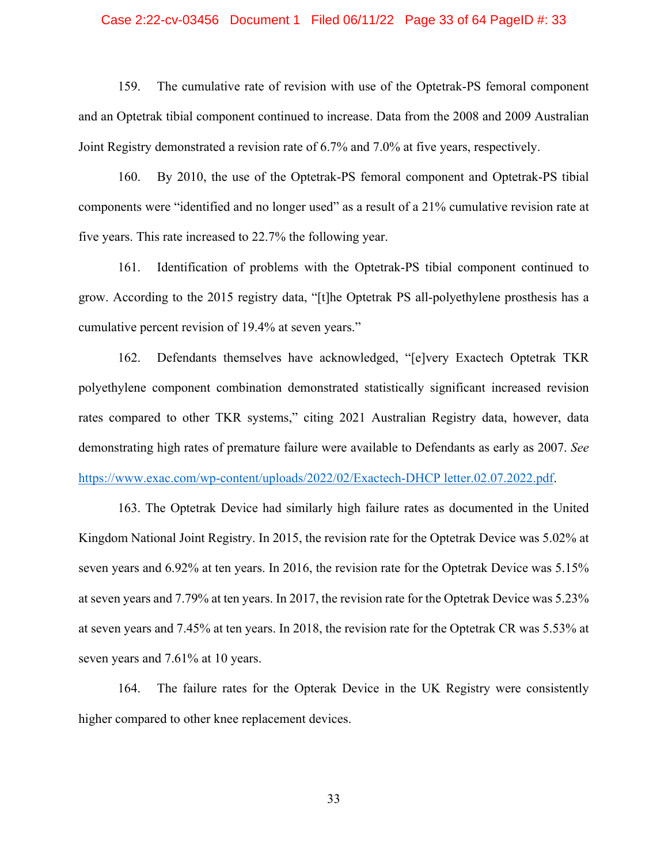### Case 2:22-cv-03456 Document 1 Filed 06/11/22 Page 33 of 64 PageID #: 33

159. The cumulative rate of revision with use of the Optetrak-PS femoral component and an Optetrak tibial component continued to increase. Data from the 2008 and 2009 Australian Joint Registry demonstrated a revision rate of 6.7% and 7.0% at five years, respectively.

160. By 2010, the use of the Optetrak-PS femoral component and Optetrak-PS tibial components were "identified and no longer used" as a result of a 21% cumulative revision rate at five years. This rate increased to 22.7% the following year.

161. Identification of problems with the Optetrak-PS tibial component continued to grow. According to the 2015 registry data, "[t]he Optetrak PS all-polyethylene prosthesis has a cumulative percent revision of 19.4% at seven years."

162. Defendants themselves have acknowledged, "[e]very Exactech Optetrak TKR polyethylene component combination demonstrated statistically significant increased revision rates compared to other TKR systems," citing 2021 Australian Registry data, however, data demonstrating high rates of premature failure were available to Defendants as early as 2007. *See*  https://www.exac.com/wp-content/uploads/2022/02/Exactech-DHCP letter.02.07.2022.pdf.

163. The Optetrak Device had similarly high failure rates as documented in the United Kingdom National Joint Registry. In 2015, the revision rate for the Optetrak Device was 5.02% at seven years and 6.92% at ten years. In 2016, the revision rate for the Optetrak Device was 5.15% at seven years and 7.79% at ten years. In 2017, the revision rate for the Optetrak Device was 5.23% at seven years and 7.45% at ten years. In 2018, the revision rate for the Optetrak CR was 5.53% at seven years and 7.61% at 10 years.

164. The failure rates for the Opterak Device in the UK Registry were consistently higher compared to other knee replacement devices.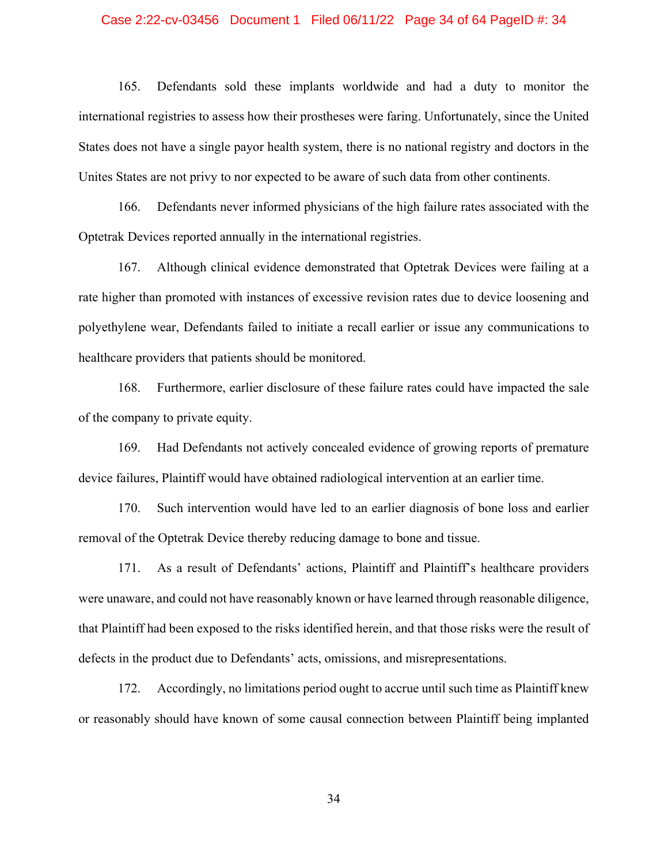### Case 2:22-cv-03456 Document 1 Filed 06/11/22 Page 34 of 64 PageID #: 34

165. Defendants sold these implants worldwide and had a duty to monitor the international registries to assess how their prostheses were faring. Unfortunately, since the United States does not have a single payor health system, there is no national registry and doctors in the Unites States are not privy to nor expected to be aware of such data from other continents.

166. Defendants never informed physicians of the high failure rates associated with the Optetrak Devices reported annually in the international registries.

167. Although clinical evidence demonstrated that Optetrak Devices were failing at a rate higher than promoted with instances of excessive revision rates due to device loosening and polyethylene wear, Defendants failed to initiate a recall earlier or issue any communications to healthcare providers that patients should be monitored.

168. Furthermore, earlier disclosure of these failure rates could have impacted the sale of the company to private equity.

169. Had Defendants not actively concealed evidence of growing reports of premature device failures, Plaintiff would have obtained radiological intervention at an earlier time.

170. Such intervention would have led to an earlier diagnosis of bone loss and earlier removal of the Optetrak Device thereby reducing damage to bone and tissue.

171. As a result of Defendants' actions, Plaintiff and Plaintiff's healthcare providers were unaware, and could not have reasonably known or have learned through reasonable diligence, that Plaintiff had been exposed to the risks identified herein, and that those risks were the result of defects in the product due to Defendants' acts, omissions, and misrepresentations.

172. Accordingly, no limitations period ought to accrue until such time as Plaintiff knew or reasonably should have known of some causal connection between Plaintiff being implanted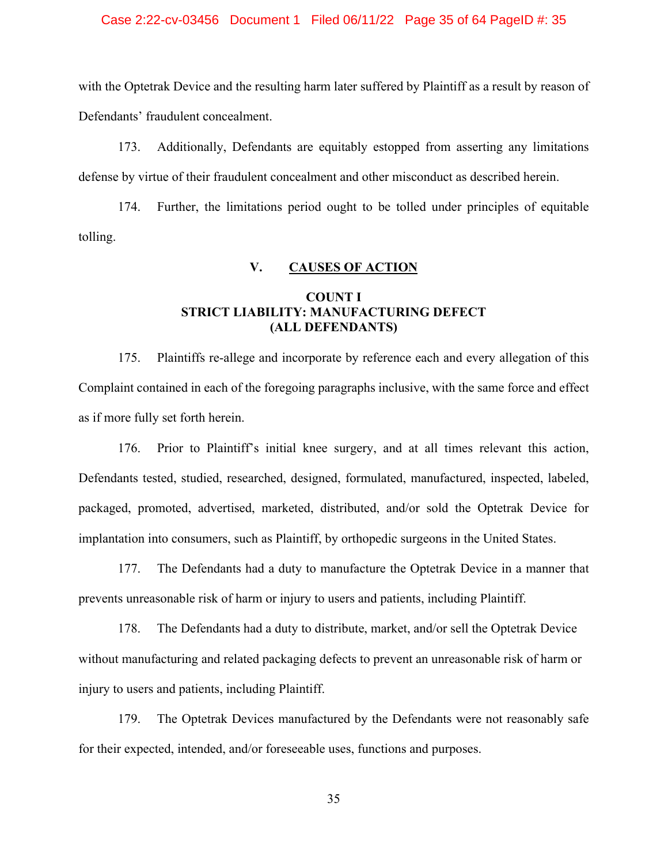### Case 2:22-cv-03456 Document 1 Filed 06/11/22 Page 35 of 64 PageID #: 35

with the Optetrak Device and the resulting harm later suffered by Plaintiff as a result by reason of Defendants' fraudulent concealment.

173. Additionally, Defendants are equitably estopped from asserting any limitations defense by virtue of their fraudulent concealment and other misconduct as described herein.

174. Further, the limitations period ought to be tolled under principles of equitable tolling.

### **V. CAUSES OF ACTION**

# **COUNT I STRICT LIABILITY: MANUFACTURING DEFECT (ALL DEFENDANTS)**

175. Plaintiffs re-allege and incorporate by reference each and every allegation of this Complaint contained in each of the foregoing paragraphs inclusive, with the same force and effect as if more fully set forth herein.

 176. Prior to Plaintiff's initial knee surgery, and at all times relevant this action, Defendants tested, studied, researched, designed, formulated, manufactured, inspected, labeled, packaged, promoted, advertised, marketed, distributed, and/or sold the Optetrak Device for implantation into consumers, such as Plaintiff, by orthopedic surgeons in the United States.

 177. The Defendants had a duty to manufacture the Optetrak Device in a manner that prevents unreasonable risk of harm or injury to users and patients, including Plaintiff.

 178. The Defendants had a duty to distribute, market, and/or sell the Optetrak Device without manufacturing and related packaging defects to prevent an unreasonable risk of harm or injury to users and patients, including Plaintiff.

179. The Optetrak Devices manufactured by the Defendants were not reasonably safe for their expected, intended, and/or foreseeable uses, functions and purposes.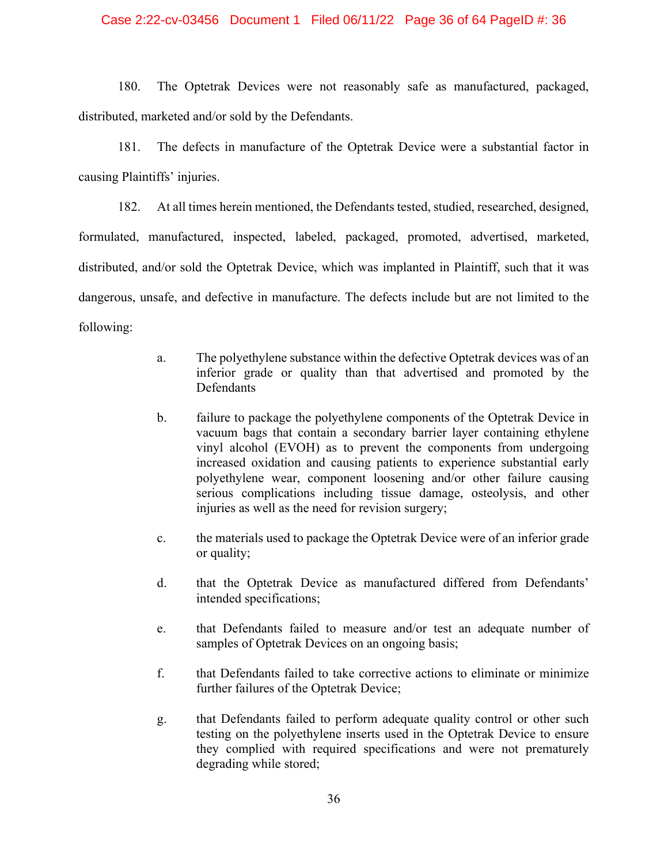### Case 2:22-cv-03456 Document 1 Filed 06/11/22 Page 36 of 64 PageID #: 36

180. The Optetrak Devices were not reasonably safe as manufactured, packaged, distributed, marketed and/or sold by the Defendants.

181. The defects in manufacture of the Optetrak Device were a substantial factor in causing Plaintiffs' injuries.

182. At all times herein mentioned, the Defendants tested, studied, researched, designed, formulated, manufactured, inspected, labeled, packaged, promoted, advertised, marketed, distributed, and/or sold the Optetrak Device, which was implanted in Plaintiff, such that it was dangerous, unsafe, and defective in manufacture. The defects include but are not limited to the following:

- a. The polyethylene substance within the defective Optetrak devices was of an inferior grade or quality than that advertised and promoted by the **Defendants**
- b. failure to package the polyethylene components of the Optetrak Device in vacuum bags that contain a secondary barrier layer containing ethylene vinyl alcohol (EVOH) as to prevent the components from undergoing increased oxidation and causing patients to experience substantial early polyethylene wear, component loosening and/or other failure causing serious complications including tissue damage, osteolysis, and other injuries as well as the need for revision surgery;
- c. the materials used to package the Optetrak Device were of an inferior grade or quality;
- d. that the Optetrak Device as manufactured differed from Defendants' intended specifications;
- e. that Defendants failed to measure and/or test an adequate number of samples of Optetrak Devices on an ongoing basis;
- f. that Defendants failed to take corrective actions to eliminate or minimize further failures of the Optetrak Device;
- g. that Defendants failed to perform adequate quality control or other such testing on the polyethylene inserts used in the Optetrak Device to ensure they complied with required specifications and were not prematurely degrading while stored;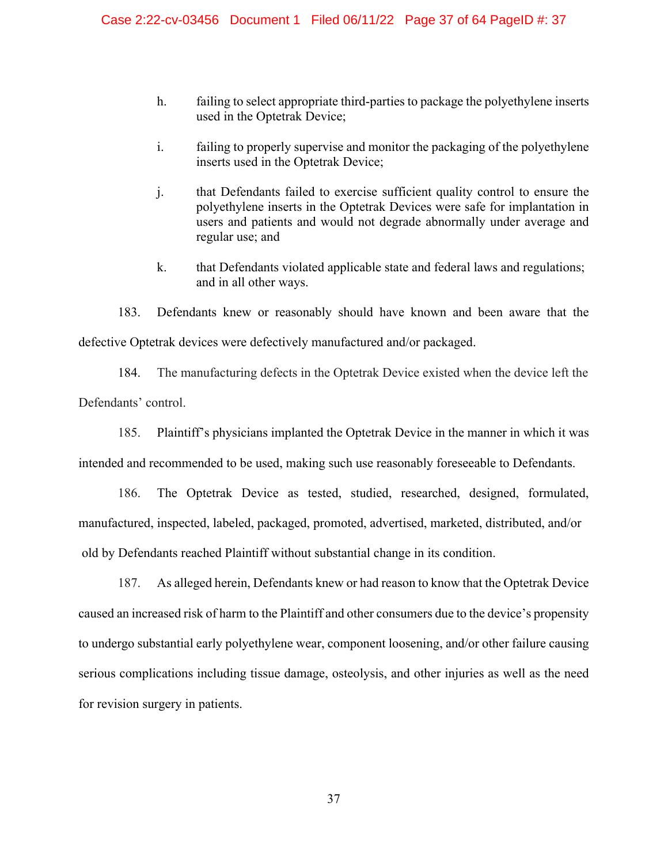- h. failing to select appropriate third-parties to package the polyethylene inserts used in the Optetrak Device;
- i. failing to properly supervise and monitor the packaging of the polyethylene inserts used in the Optetrak Device;
- j. that Defendants failed to exercise sufficient quality control to ensure the polyethylene inserts in the Optetrak Devices were safe for implantation in users and patients and would not degrade abnormally under average and regular use; and
- k. that Defendants violated applicable state and federal laws and regulations; and in all other ways.

183. Defendants knew or reasonably should have known and been aware that the defective Optetrak devices were defectively manufactured and/or packaged.

184. The manufacturing defects in the Optetrak Device existed when the device left the Defendants' control.

185. Plaintiff's physicians implanted the Optetrak Device in the manner in which it was intended and recommended to be used, making such use reasonably foreseeable to Defendants.

186. The Optetrak Device as tested, studied, researched, designed, formulated, manufactured, inspected, labeled, packaged, promoted, advertised, marketed, distributed, and/or old by Defendants reached Plaintiff without substantial change in its condition.

187. As alleged herein, Defendants knew or had reason to know that the Optetrak Device caused an increased risk of harm to the Plaintiff and other consumers due to the device's propensity to undergo substantial early polyethylene wear, component loosening, and/or other failure causing serious complications including tissue damage, osteolysis, and other injuries as well as the need for revision surgery in patients.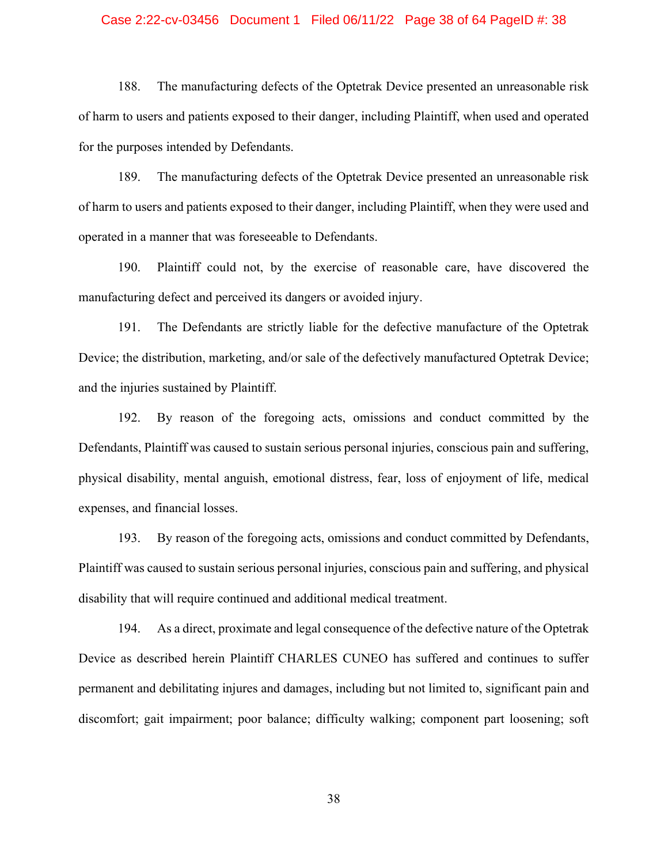### Case 2:22-cv-03456 Document 1 Filed 06/11/22 Page 38 of 64 PageID #: 38

188. The manufacturing defects of the Optetrak Device presented an unreasonable risk of harm to users and patients exposed to their danger, including Plaintiff, when used and operated for the purposes intended by Defendants.

189. The manufacturing defects of the Optetrak Device presented an unreasonable risk of harm to users and patients exposed to their danger, including Plaintiff, when they were used and operated in a manner that was foreseeable to Defendants.

190. Plaintiff could not, by the exercise of reasonable care, have discovered the manufacturing defect and perceived its dangers or avoided injury.

 191. The Defendants are strictly liable for the defective manufacture of the Optetrak Device; the distribution, marketing, and/or sale of the defectively manufactured Optetrak Device; and the injuries sustained by Plaintiff.

192. By reason of the foregoing acts, omissions and conduct committed by the Defendants, Plaintiff was caused to sustain serious personal injuries, conscious pain and suffering, physical disability, mental anguish, emotional distress, fear, loss of enjoyment of life, medical expenses, and financial losses.

193. By reason of the foregoing acts, omissions and conduct committed by Defendants, Plaintiff was caused to sustain serious personal injuries, conscious pain and suffering, and physical disability that will require continued and additional medical treatment.

194. As a direct, proximate and legal consequence of the defective nature of the Optetrak Device as described herein Plaintiff CHARLES CUNEO has suffered and continues to suffer permanent and debilitating injures and damages, including but not limited to, significant pain and discomfort; gait impairment; poor balance; difficulty walking; component part loosening; soft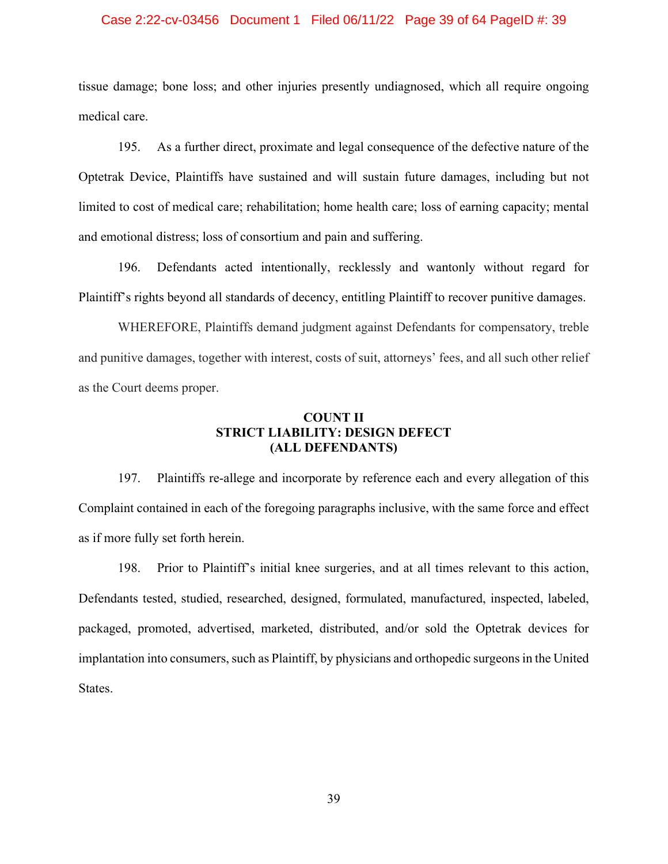### Case 2:22-cv-03456 Document 1 Filed 06/11/22 Page 39 of 64 PageID #: 39

tissue damage; bone loss; and other injuries presently undiagnosed, which all require ongoing medical care.

195. As a further direct, proximate and legal consequence of the defective nature of the Optetrak Device, Plaintiffs have sustained and will sustain future damages, including but not limited to cost of medical care; rehabilitation; home health care; loss of earning capacity; mental and emotional distress; loss of consortium and pain and suffering.

196. Defendants acted intentionally, recklessly and wantonly without regard for Plaintiff's rights beyond all standards of decency, entitling Plaintiff to recover punitive damages.

WHEREFORE, Plaintiffs demand judgment against Defendants for compensatory, treble and punitive damages, together with interest, costs of suit, attorneys' fees, and all such other relief as the Court deems proper.

## **COUNT II STRICT LIABILITY: DESIGN DEFECT (ALL DEFENDANTS)**

197. Plaintiffs re-allege and incorporate by reference each and every allegation of this Complaint contained in each of the foregoing paragraphs inclusive, with the same force and effect as if more fully set forth herein.

198. Prior to Plaintiff's initial knee surgeries, and at all times relevant to this action, Defendants tested, studied, researched, designed, formulated, manufactured, inspected, labeled, packaged, promoted, advertised, marketed, distributed, and/or sold the Optetrak devices for implantation into consumers, such as Plaintiff, by physicians and orthopedic surgeons in the United States.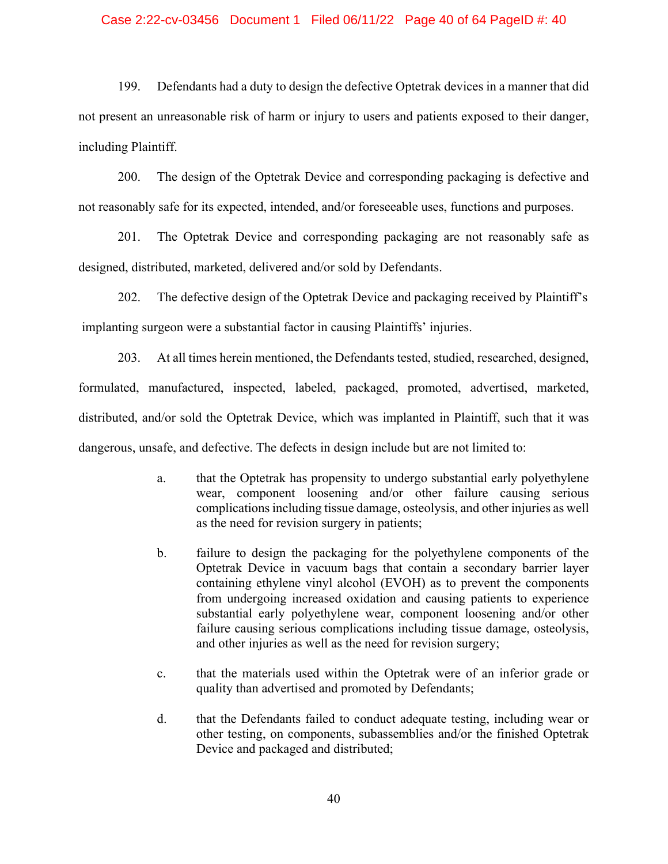### Case 2:22-cv-03456 Document 1 Filed 06/11/22 Page 40 of 64 PageID #: 40

199. Defendants had a duty to design the defective Optetrak devices in a manner that did not present an unreasonable risk of harm or injury to users and patients exposed to their danger, including Plaintiff.

200. The design of the Optetrak Device and corresponding packaging is defective and not reasonably safe for its expected, intended, and/or foreseeable uses, functions and purposes.

201. The Optetrak Device and corresponding packaging are not reasonably safe as designed, distributed, marketed, delivered and/or sold by Defendants.

202. The defective design of the Optetrak Device and packaging received by Plaintiff's implanting surgeon were a substantial factor in causing Plaintiffs' injuries.

203. At all times herein mentioned, the Defendants tested, studied, researched, designed, formulated, manufactured, inspected, labeled, packaged, promoted, advertised, marketed, distributed, and/or sold the Optetrak Device, which was implanted in Plaintiff, such that it was dangerous, unsafe, and defective. The defects in design include but are not limited to:

- a. that the Optetrak has propensity to undergo substantial early polyethylene wear, component loosening and/or other failure causing serious complications including tissue damage, osteolysis, and other injuries as well as the need for revision surgery in patients;
- b. failure to design the packaging for the polyethylene components of the Optetrak Device in vacuum bags that contain a secondary barrier layer containing ethylene vinyl alcohol (EVOH) as to prevent the components from undergoing increased oxidation and causing patients to experience substantial early polyethylene wear, component loosening and/or other failure causing serious complications including tissue damage, osteolysis, and other injuries as well as the need for revision surgery;
- c. that the materials used within the Optetrak were of an inferior grade or quality than advertised and promoted by Defendants;
- d. that the Defendants failed to conduct adequate testing, including wear or other testing, on components, subassemblies and/or the finished Optetrak Device and packaged and distributed;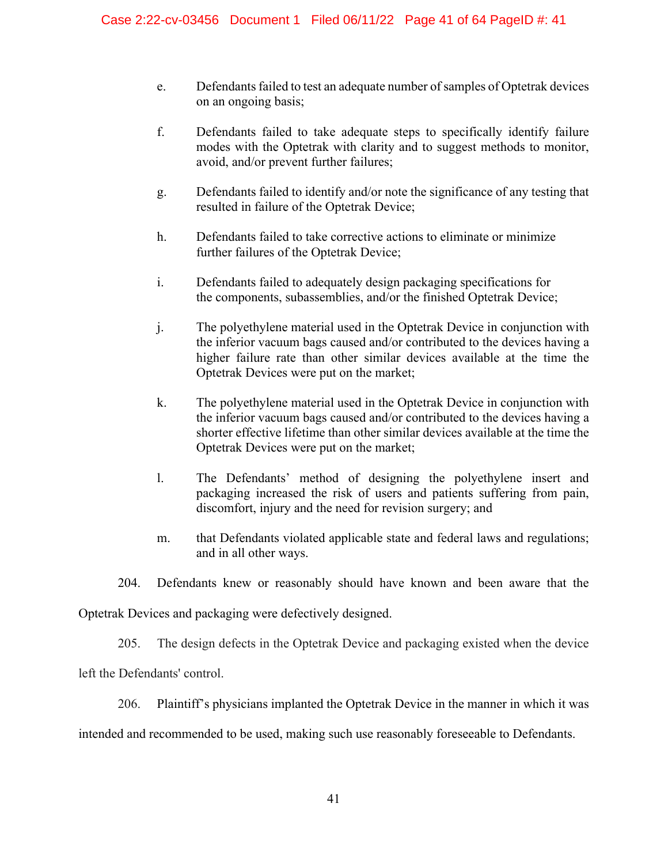- e. Defendants failed to test an adequate number of samples of Optetrak devices on an ongoing basis;
- f. Defendants failed to take adequate steps to specifically identify failure modes with the Optetrak with clarity and to suggest methods to monitor, avoid, and/or prevent further failures;
- g. Defendants failed to identify and/or note the significance of any testing that resulted in failure of the Optetrak Device;
- h. Defendants failed to take corrective actions to eliminate or minimize further failures of the Optetrak Device;
- i. Defendants failed to adequately design packaging specifications for the components, subassemblies, and/or the finished Optetrak Device;
- j. The polyethylene material used in the Optetrak Device in conjunction with the inferior vacuum bags caused and/or contributed to the devices having a higher failure rate than other similar devices available at the time the Optetrak Devices were put on the market;
- k. The polyethylene material used in the Optetrak Device in conjunction with the inferior vacuum bags caused and/or contributed to the devices having a shorter effective lifetime than other similar devices available at the time the Optetrak Devices were put on the market;
- l. The Defendants' method of designing the polyethylene insert and packaging increased the risk of users and patients suffering from pain, discomfort, injury and the need for revision surgery; and
- m. that Defendants violated applicable state and federal laws and regulations; and in all other ways.
- 204. Defendants knew or reasonably should have known and been aware that the

Optetrak Devices and packaging were defectively designed.

205. The design defects in the Optetrak Device and packaging existed when the device

left the Defendants' control.

206. Plaintiff's physicians implanted the Optetrak Device in the manner in which it was

intended and recommended to be used, making such use reasonably foreseeable to Defendants.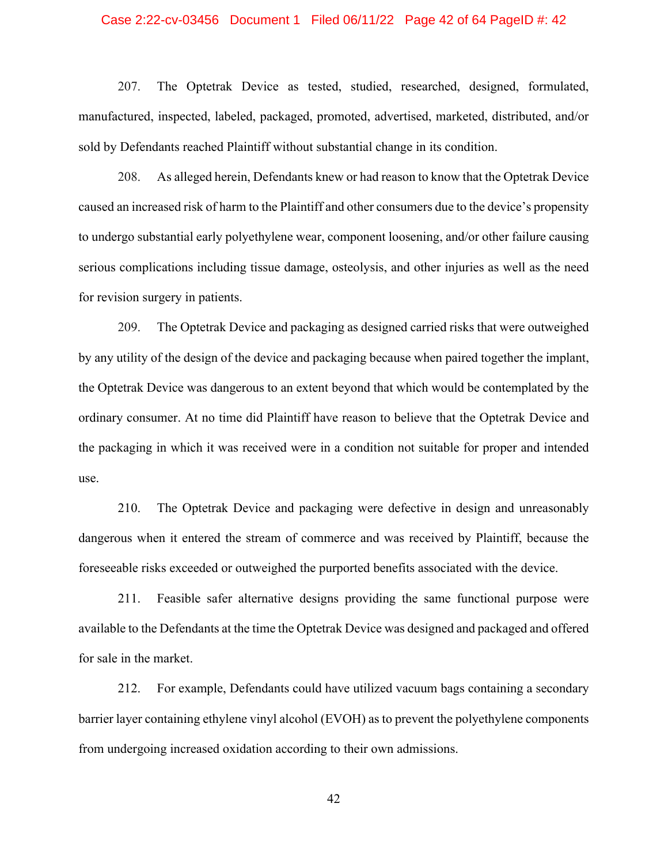### Case 2:22-cv-03456 Document 1 Filed 06/11/22 Page 42 of 64 PageID #: 42

207. The Optetrak Device as tested, studied, researched, designed, formulated, manufactured, inspected, labeled, packaged, promoted, advertised, marketed, distributed, and/or sold by Defendants reached Plaintiff without substantial change in its condition.

208. As alleged herein, Defendants knew or had reason to know that the Optetrak Device caused an increased risk of harm to the Plaintiff and other consumers due to the device's propensity to undergo substantial early polyethylene wear, component loosening, and/or other failure causing serious complications including tissue damage, osteolysis, and other injuries as well as the need for revision surgery in patients.

209. The Optetrak Device and packaging as designed carried risks that were outweighed by any utility of the design of the device and packaging because when paired together the implant, the Optetrak Device was dangerous to an extent beyond that which would be contemplated by the ordinary consumer. At no time did Plaintiff have reason to believe that the Optetrak Device and the packaging in which it was received were in a condition not suitable for proper and intended use.

210. The Optetrak Device and packaging were defective in design and unreasonably dangerous when it entered the stream of commerce and was received by Plaintiff, because the foreseeable risks exceeded or outweighed the purported benefits associated with the device.

211. Feasible safer alternative designs providing the same functional purpose were available to the Defendants at the time the Optetrak Device was designed and packaged and offered for sale in the market.

212. For example, Defendants could have utilized vacuum bags containing a secondary barrier layer containing ethylene vinyl alcohol (EVOH) as to prevent the polyethylene components from undergoing increased oxidation according to their own admissions.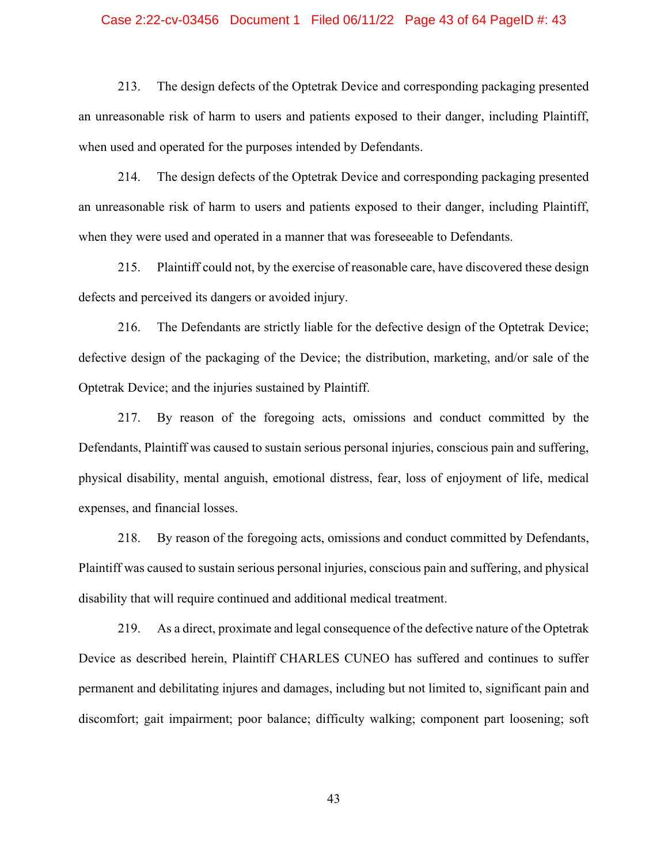### Case 2:22-cv-03456 Document 1 Filed 06/11/22 Page 43 of 64 PageID #: 43

213. The design defects of the Optetrak Device and corresponding packaging presented an unreasonable risk of harm to users and patients exposed to their danger, including Plaintiff, when used and operated for the purposes intended by Defendants.

214. The design defects of the Optetrak Device and corresponding packaging presented an unreasonable risk of harm to users and patients exposed to their danger, including Plaintiff, when they were used and operated in a manner that was foreseeable to Defendants.

215. Plaintiff could not, by the exercise of reasonable care, have discovered these design defects and perceived its dangers or avoided injury.

216. The Defendants are strictly liable for the defective design of the Optetrak Device; defective design of the packaging of the Device; the distribution, marketing, and/or sale of the Optetrak Device; and the injuries sustained by Plaintiff.

217. By reason of the foregoing acts, omissions and conduct committed by the Defendants, Plaintiff was caused to sustain serious personal injuries, conscious pain and suffering, physical disability, mental anguish, emotional distress, fear, loss of enjoyment of life, medical expenses, and financial losses.

218. By reason of the foregoing acts, omissions and conduct committed by Defendants, Plaintiff was caused to sustain serious personal injuries, conscious pain and suffering, and physical disability that will require continued and additional medical treatment.

219. As a direct, proximate and legal consequence of the defective nature of the Optetrak Device as described herein, Plaintiff CHARLES CUNEO has suffered and continues to suffer permanent and debilitating injures and damages, including but not limited to, significant pain and discomfort; gait impairment; poor balance; difficulty walking; component part loosening; soft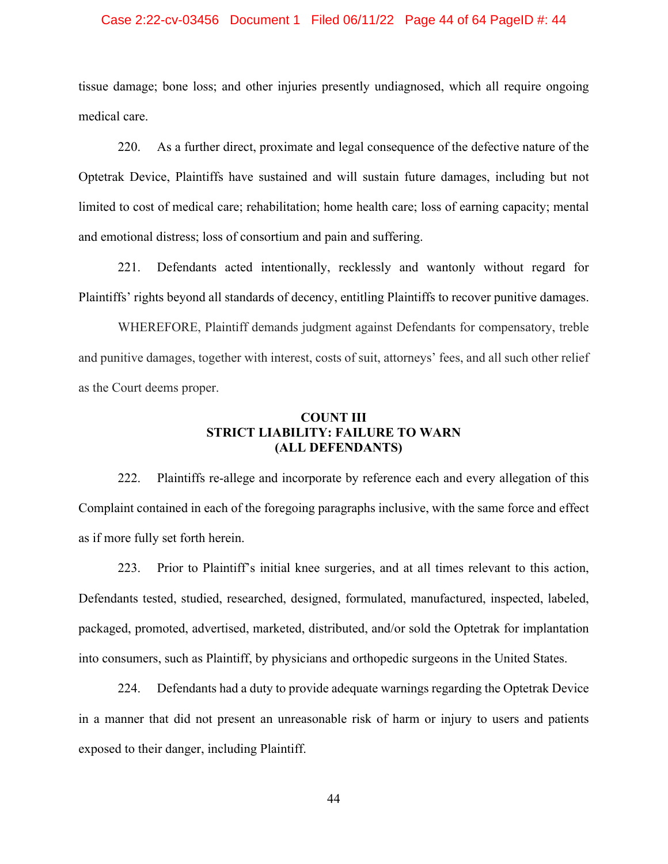### Case 2:22-cv-03456 Document 1 Filed 06/11/22 Page 44 of 64 PageID #: 44

tissue damage; bone loss; and other injuries presently undiagnosed, which all require ongoing medical care.

220. As a further direct, proximate and legal consequence of the defective nature of the Optetrak Device, Plaintiffs have sustained and will sustain future damages, including but not limited to cost of medical care; rehabilitation; home health care; loss of earning capacity; mental and emotional distress; loss of consortium and pain and suffering.

221. Defendants acted intentionally, recklessly and wantonly without regard for Plaintiffs' rights beyond all standards of decency, entitling Plaintiffs to recover punitive damages.

WHEREFORE, Plaintiff demands judgment against Defendants for compensatory, treble and punitive damages, together with interest, costs of suit, attorneys' fees, and all such other relief as the Court deems proper.

## **COUNT III STRICT LIABILITY: FAILURE TO WARN (ALL DEFENDANTS)**

 222. Plaintiffs re-allege and incorporate by reference each and every allegation of this Complaint contained in each of the foregoing paragraphs inclusive, with the same force and effect as if more fully set forth herein.

 223. Prior to Plaintiff's initial knee surgeries, and at all times relevant to this action, Defendants tested, studied, researched, designed, formulated, manufactured, inspected, labeled, packaged, promoted, advertised, marketed, distributed, and/or sold the Optetrak for implantation into consumers, such as Plaintiff, by physicians and orthopedic surgeons in the United States.

224. Defendants had a duty to provide adequate warnings regarding the Optetrak Device in a manner that did not present an unreasonable risk of harm or injury to users and patients exposed to their danger, including Plaintiff.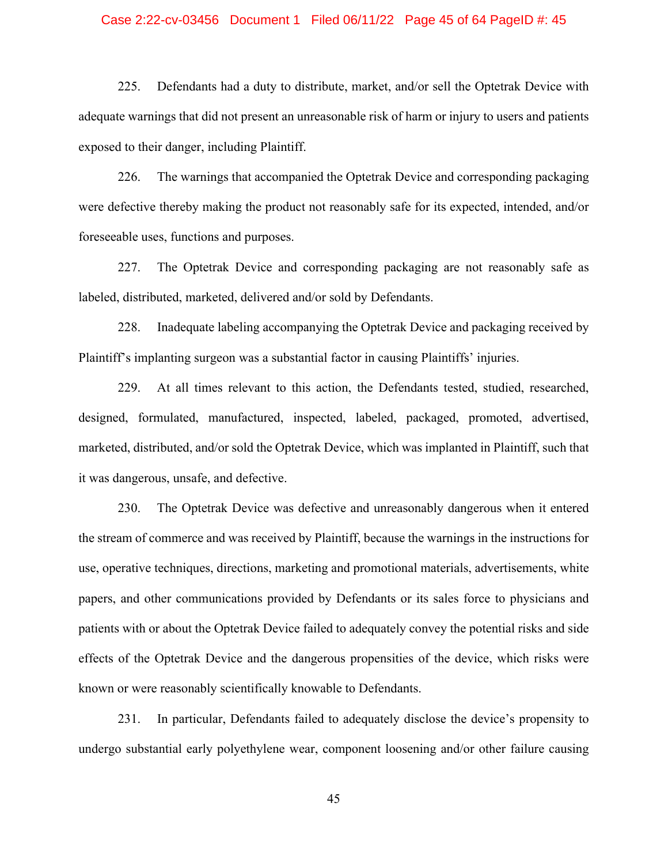### Case 2:22-cv-03456 Document 1 Filed 06/11/22 Page 45 of 64 PageID #: 45

225. Defendants had a duty to distribute, market, and/or sell the Optetrak Device with adequate warnings that did not present an unreasonable risk of harm or injury to users and patients exposed to their danger, including Plaintiff.

226. The warnings that accompanied the Optetrak Device and corresponding packaging were defective thereby making the product not reasonably safe for its expected, intended, and/or foreseeable uses, functions and purposes.

227. The Optetrak Device and corresponding packaging are not reasonably safe as labeled, distributed, marketed, delivered and/or sold by Defendants.

228. Inadequate labeling accompanying the Optetrak Device and packaging received by Plaintiff's implanting surgeon was a substantial factor in causing Plaintiffs' injuries.

229. At all times relevant to this action, the Defendants tested, studied, researched, designed, formulated, manufactured, inspected, labeled, packaged, promoted, advertised, marketed, distributed, and/or sold the Optetrak Device, which was implanted in Plaintiff, such that it was dangerous, unsafe, and defective.

230. The Optetrak Device was defective and unreasonably dangerous when it entered the stream of commerce and was received by Plaintiff, because the warnings in the instructions for use, operative techniques, directions, marketing and promotional materials, advertisements, white papers, and other communications provided by Defendants or its sales force to physicians and patients with or about the Optetrak Device failed to adequately convey the potential risks and side effects of the Optetrak Device and the dangerous propensities of the device, which risks were known or were reasonably scientifically knowable to Defendants.

231. In particular, Defendants failed to adequately disclose the device's propensity to undergo substantial early polyethylene wear, component loosening and/or other failure causing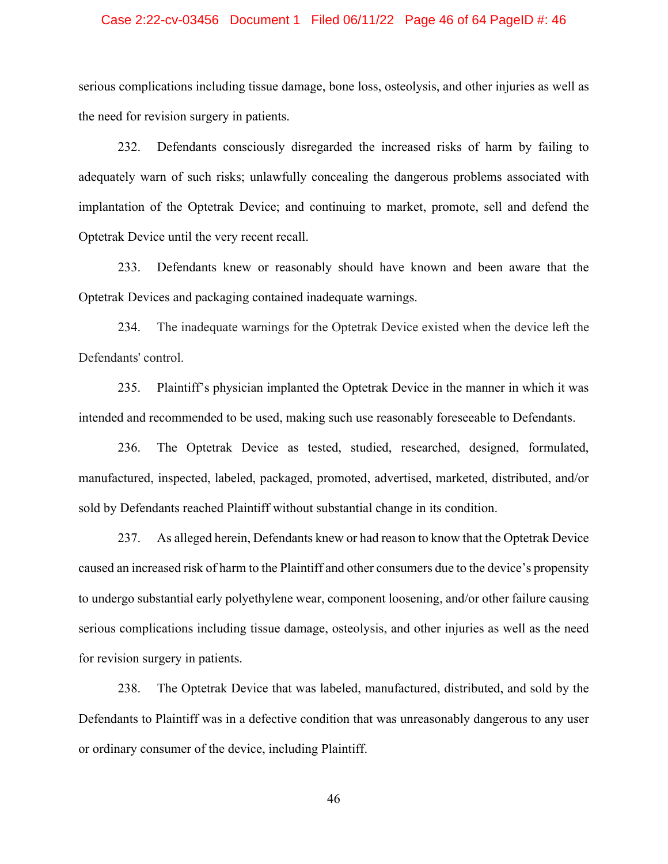### Case 2:22-cv-03456 Document 1 Filed 06/11/22 Page 46 of 64 PageID #: 46

serious complications including tissue damage, bone loss, osteolysis, and other injuries as well as the need for revision surgery in patients.

232. Defendants consciously disregarded the increased risks of harm by failing to adequately warn of such risks; unlawfully concealing the dangerous problems associated with implantation of the Optetrak Device; and continuing to market, promote, sell and defend the Optetrak Device until the very recent recall.

233. Defendants knew or reasonably should have known and been aware that the Optetrak Devices and packaging contained inadequate warnings.

234. The inadequate warnings for the Optetrak Device existed when the device left the Defendants' control.

235. Plaintiff's physician implanted the Optetrak Device in the manner in which it was intended and recommended to be used, making such use reasonably foreseeable to Defendants.

236. The Optetrak Device as tested, studied, researched, designed, formulated, manufactured, inspected, labeled, packaged, promoted, advertised, marketed, distributed, and/or sold by Defendants reached Plaintiff without substantial change in its condition.

237. As alleged herein, Defendants knew or had reason to know that the Optetrak Device caused an increased risk of harm to the Plaintiff and other consumers due to the device's propensity to undergo substantial early polyethylene wear, component loosening, and/or other failure causing serious complications including tissue damage, osteolysis, and other injuries as well as the need for revision surgery in patients.

238. The Optetrak Device that was labeled, manufactured, distributed, and sold by the Defendants to Plaintiff was in a defective condition that was unreasonably dangerous to any user or ordinary consumer of the device, including Plaintiff.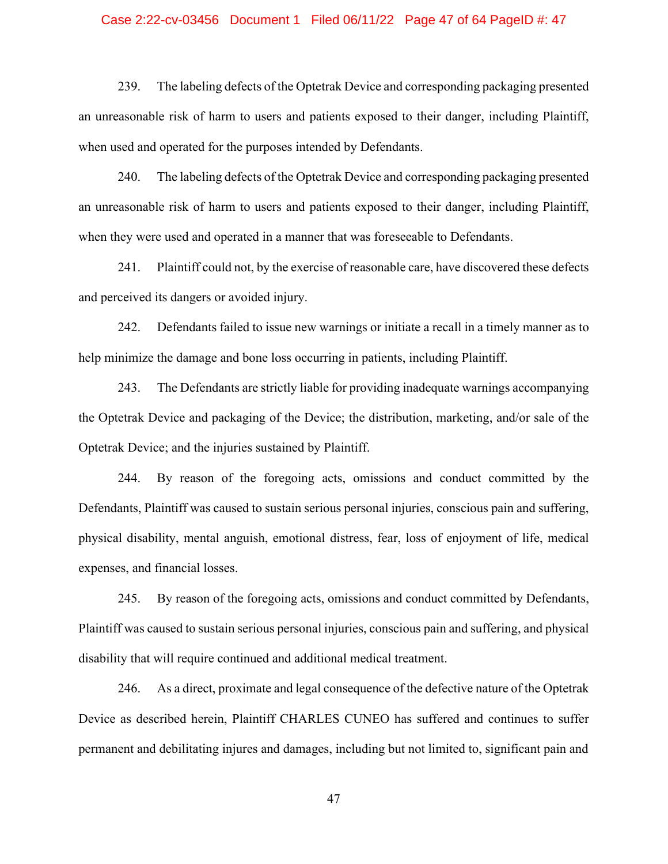### Case 2:22-cv-03456 Document 1 Filed 06/11/22 Page 47 of 64 PageID #: 47

239. The labeling defects of the Optetrak Device and corresponding packaging presented an unreasonable risk of harm to users and patients exposed to their danger, including Plaintiff, when used and operated for the purposes intended by Defendants.

240. The labeling defects of the Optetrak Device and corresponding packaging presented an unreasonable risk of harm to users and patients exposed to their danger, including Plaintiff, when they were used and operated in a manner that was foreseeable to Defendants.

241. Plaintiff could not, by the exercise of reasonable care, have discovered these defects and perceived its dangers or avoided injury.

242. Defendants failed to issue new warnings or initiate a recall in a timely manner as to help minimize the damage and bone loss occurring in patients, including Plaintiff.

243. The Defendants are strictly liable for providing inadequate warnings accompanying the Optetrak Device and packaging of the Device; the distribution, marketing, and/or sale of the Optetrak Device; and the injuries sustained by Plaintiff.

244. By reason of the foregoing acts, omissions and conduct committed by the Defendants, Plaintiff was caused to sustain serious personal injuries, conscious pain and suffering, physical disability, mental anguish, emotional distress, fear, loss of enjoyment of life, medical expenses, and financial losses.

245. By reason of the foregoing acts, omissions and conduct committed by Defendants, Plaintiff was caused to sustain serious personal injuries, conscious pain and suffering, and physical disability that will require continued and additional medical treatment.

246. As a direct, proximate and legal consequence of the defective nature of the Optetrak Device as described herein, Plaintiff CHARLES CUNEO has suffered and continues to suffer permanent and debilitating injures and damages, including but not limited to, significant pain and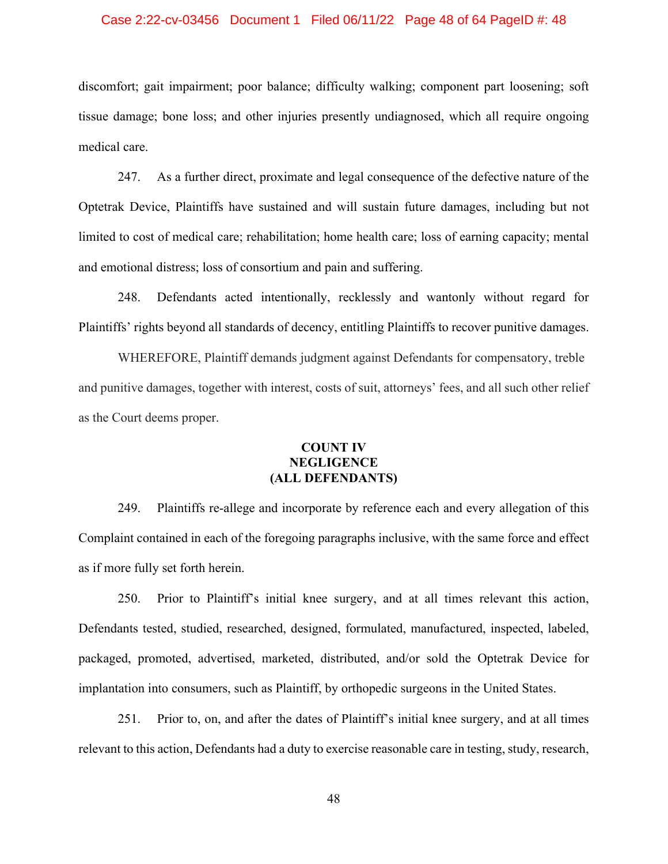### Case 2:22-cv-03456 Document 1 Filed 06/11/22 Page 48 of 64 PageID #: 48

discomfort; gait impairment; poor balance; difficulty walking; component part loosening; soft tissue damage; bone loss; and other injuries presently undiagnosed, which all require ongoing medical care.

247. As a further direct, proximate and legal consequence of the defective nature of the Optetrak Device, Plaintiffs have sustained and will sustain future damages, including but not limited to cost of medical care; rehabilitation; home health care; loss of earning capacity; mental and emotional distress; loss of consortium and pain and suffering.

248. Defendants acted intentionally, recklessly and wantonly without regard for Plaintiffs' rights beyond all standards of decency, entitling Plaintiffs to recover punitive damages.

WHEREFORE, Plaintiff demands judgment against Defendants for compensatory, treble and punitive damages, together with interest, costs of suit, attorneys' fees, and all such other relief as the Court deems proper.

# **COUNT IV NEGLIGENCE (ALL DEFENDANTS)**

249. Plaintiffs re-allege and incorporate by reference each and every allegation of this Complaint contained in each of the foregoing paragraphs inclusive, with the same force and effect as if more fully set forth herein.

250. Prior to Plaintiff's initial knee surgery, and at all times relevant this action, Defendants tested, studied, researched, designed, formulated, manufactured, inspected, labeled, packaged, promoted, advertised, marketed, distributed, and/or sold the Optetrak Device for implantation into consumers, such as Plaintiff, by orthopedic surgeons in the United States.

251. Prior to, on, and after the dates of Plaintiff's initial knee surgery, and at all times relevant to this action, Defendants had a duty to exercise reasonable care in testing, study, research,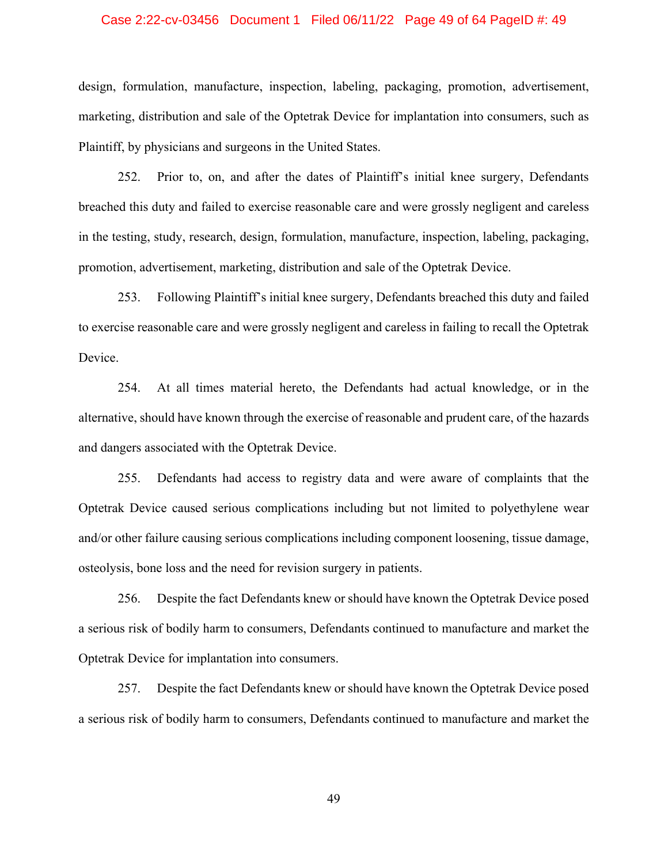### Case 2:22-cv-03456 Document 1 Filed 06/11/22 Page 49 of 64 PageID #: 49

design, formulation, manufacture, inspection, labeling, packaging, promotion, advertisement, marketing, distribution and sale of the Optetrak Device for implantation into consumers, such as Plaintiff, by physicians and surgeons in the United States.

252. Prior to, on, and after the dates of Plaintiff's initial knee surgery, Defendants breached this duty and failed to exercise reasonable care and were grossly negligent and careless in the testing, study, research, design, formulation, manufacture, inspection, labeling, packaging, promotion, advertisement, marketing, distribution and sale of the Optetrak Device.

253. Following Plaintiff's initial knee surgery, Defendants breached this duty and failed to exercise reasonable care and were grossly negligent and careless in failing to recall the Optetrak Device.

254. At all times material hereto, the Defendants had actual knowledge, or in the alternative, should have known through the exercise of reasonable and prudent care, of the hazards and dangers associated with the Optetrak Device.

255. Defendants had access to registry data and were aware of complaints that the Optetrak Device caused serious complications including but not limited to polyethylene wear and/or other failure causing serious complications including component loosening, tissue damage, osteolysis, bone loss and the need for revision surgery in patients.

256. Despite the fact Defendants knew or should have known the Optetrak Device posed a serious risk of bodily harm to consumers, Defendants continued to manufacture and market the Optetrak Device for implantation into consumers.

257. Despite the fact Defendants knew or should have known the Optetrak Device posed a serious risk of bodily harm to consumers, Defendants continued to manufacture and market the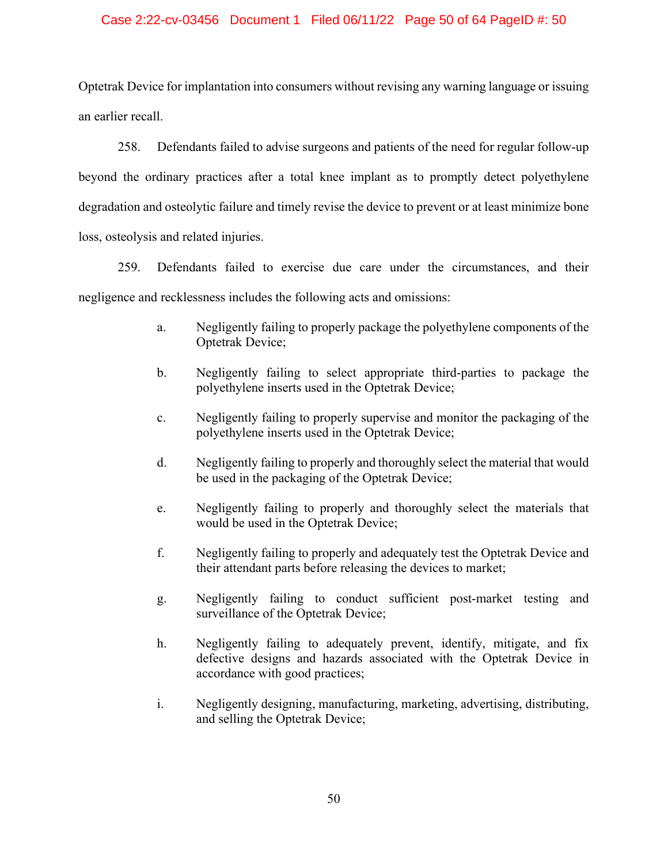### Case 2:22-cv-03456 Document 1 Filed 06/11/22 Page 50 of 64 PageID #: 50

Optetrak Device for implantation into consumers without revising any warning language or issuing an earlier recall.

258. Defendants failed to advise surgeons and patients of the need for regular follow-up beyond the ordinary practices after a total knee implant as to promptly detect polyethylene degradation and osteolytic failure and timely revise the device to prevent or at least minimize bone loss, osteolysis and related injuries.

259. Defendants failed to exercise due care under the circumstances, and their negligence and recklessness includes the following acts and omissions:

- a. Negligently failing to properly package the polyethylene components of the Optetrak Device;
- b. Negligently failing to select appropriate third-parties to package the polyethylene inserts used in the Optetrak Device;
- c. Negligently failing to properly supervise and monitor the packaging of the polyethylene inserts used in the Optetrak Device;
- d. Negligently failing to properly and thoroughly select the material that would be used in the packaging of the Optetrak Device;
- e. Negligently failing to properly and thoroughly select the materials that would be used in the Optetrak Device;
- f. Negligently failing to properly and adequately test the Optetrak Device and their attendant parts before releasing the devices to market;
- g. Negligently failing to conduct sufficient post-market testing and surveillance of the Optetrak Device;
- h. Negligently failing to adequately prevent, identify, mitigate, and fix defective designs and hazards associated with the Optetrak Device in accordance with good practices;
- i. Negligently designing, manufacturing, marketing, advertising, distributing, and selling the Optetrak Device;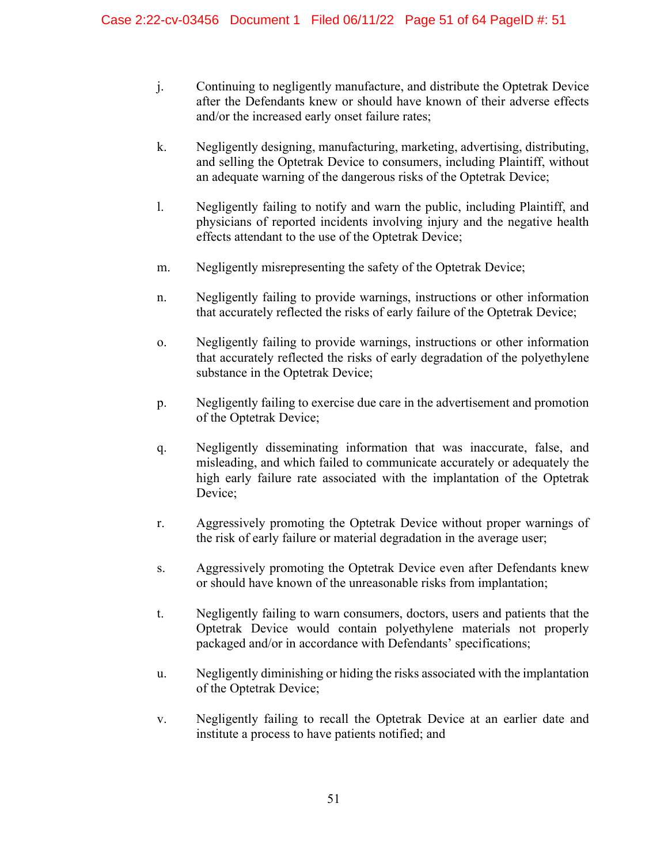- j. Continuing to negligently manufacture, and distribute the Optetrak Device after the Defendants knew or should have known of their adverse effects and/or the increased early onset failure rates;
- k. Negligently designing, manufacturing, marketing, advertising, distributing, and selling the Optetrak Device to consumers, including Plaintiff, without an adequate warning of the dangerous risks of the Optetrak Device;
- l. Negligently failing to notify and warn the public, including Plaintiff, and physicians of reported incidents involving injury and the negative health effects attendant to the use of the Optetrak Device;
- m. Negligently misrepresenting the safety of the Optetrak Device;
- n. Negligently failing to provide warnings, instructions or other information that accurately reflected the risks of early failure of the Optetrak Device;
- o. Negligently failing to provide warnings, instructions or other information that accurately reflected the risks of early degradation of the polyethylene substance in the Optetrak Device;
- p. Negligently failing to exercise due care in the advertisement and promotion of the Optetrak Device;
- q. Negligently disseminating information that was inaccurate, false, and misleading, and which failed to communicate accurately or adequately the high early failure rate associated with the implantation of the Optetrak Device;
- r. Aggressively promoting the Optetrak Device without proper warnings of the risk of early failure or material degradation in the average user;
- s. Aggressively promoting the Optetrak Device even after Defendants knew or should have known of the unreasonable risks from implantation;
- t. Negligently failing to warn consumers, doctors, users and patients that the Optetrak Device would contain polyethylene materials not properly packaged and/or in accordance with Defendants' specifications;
- u. Negligently diminishing or hiding the risks associated with the implantation of the Optetrak Device;
- v. Negligently failing to recall the Optetrak Device at an earlier date and institute a process to have patients notified; and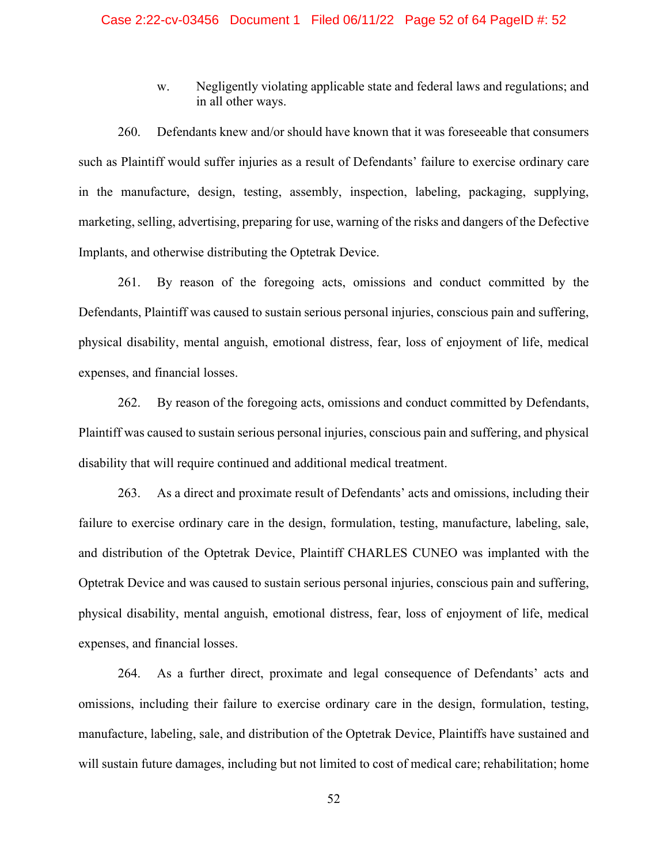w. Negligently violating applicable state and federal laws and regulations; and in all other ways.

260. Defendants knew and/or should have known that it was foreseeable that consumers such as Plaintiff would suffer injuries as a result of Defendants' failure to exercise ordinary care in the manufacture, design, testing, assembly, inspection, labeling, packaging, supplying, marketing, selling, advertising, preparing for use, warning of the risks and dangers of the Defective Implants, and otherwise distributing the Optetrak Device.

261. By reason of the foregoing acts, omissions and conduct committed by the Defendants, Plaintiff was caused to sustain serious personal injuries, conscious pain and suffering, physical disability, mental anguish, emotional distress, fear, loss of enjoyment of life, medical expenses, and financial losses.

262. By reason of the foregoing acts, omissions and conduct committed by Defendants, Plaintiff was caused to sustain serious personal injuries, conscious pain and suffering, and physical disability that will require continued and additional medical treatment.

263. As a direct and proximate result of Defendants' acts and omissions, including their failure to exercise ordinary care in the design, formulation, testing, manufacture, labeling, sale, and distribution of the Optetrak Device, Plaintiff CHARLES CUNEO was implanted with the Optetrak Device and was caused to sustain serious personal injuries, conscious pain and suffering, physical disability, mental anguish, emotional distress, fear, loss of enjoyment of life, medical expenses, and financial losses.

264. As a further direct, proximate and legal consequence of Defendants' acts and omissions, including their failure to exercise ordinary care in the design, formulation, testing, manufacture, labeling, sale, and distribution of the Optetrak Device, Plaintiffs have sustained and will sustain future damages, including but not limited to cost of medical care; rehabilitation; home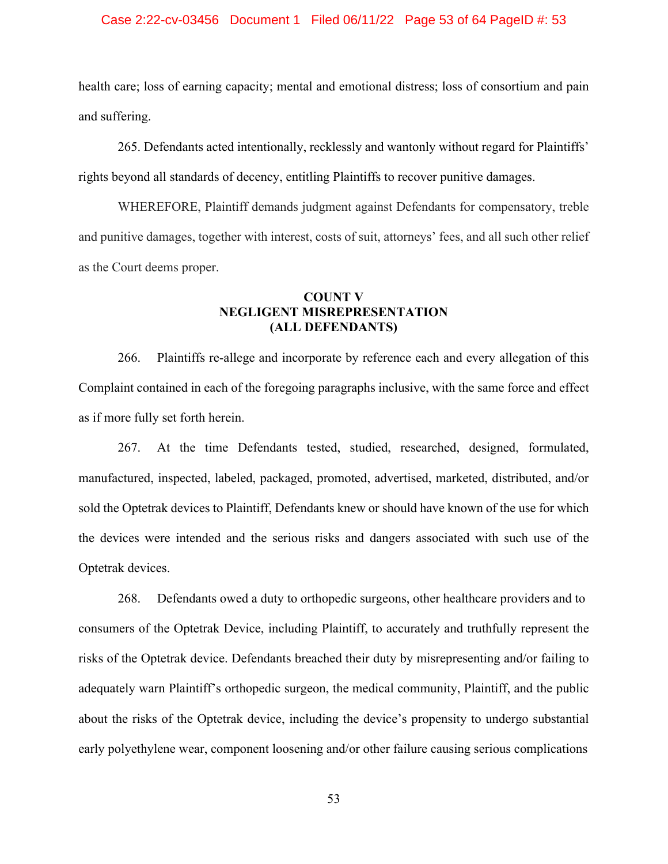### Case 2:22-cv-03456 Document 1 Filed 06/11/22 Page 53 of 64 PageID #: 53

health care; loss of earning capacity; mental and emotional distress; loss of consortium and pain and suffering.

265. Defendants acted intentionally, recklessly and wantonly without regard for Plaintiffs' rights beyond all standards of decency, entitling Plaintiffs to recover punitive damages.

WHEREFORE, Plaintiff demands judgment against Defendants for compensatory, treble and punitive damages, together with interest, costs of suit, attorneys' fees, and all such other relief as the Court deems proper.

## **COUNT V NEGLIGENT MISREPRESENTATION (ALL DEFENDANTS)**

266. Plaintiffs re-allege and incorporate by reference each and every allegation of this Complaint contained in each of the foregoing paragraphs inclusive, with the same force and effect as if more fully set forth herein.

267. At the time Defendants tested, studied, researched, designed, formulated, manufactured, inspected, labeled, packaged, promoted, advertised, marketed, distributed, and/or sold the Optetrak devices to Plaintiff, Defendants knew or should have known of the use for which the devices were intended and the serious risks and dangers associated with such use of the Optetrak devices.

268. Defendants owed a duty to orthopedic surgeons, other healthcare providers and to consumers of the Optetrak Device, including Plaintiff, to accurately and truthfully represent the risks of the Optetrak device. Defendants breached their duty by misrepresenting and/or failing to adequately warn Plaintiff's orthopedic surgeon, the medical community, Plaintiff, and the public about the risks of the Optetrak device, including the device's propensity to undergo substantial early polyethylene wear, component loosening and/or other failure causing serious complications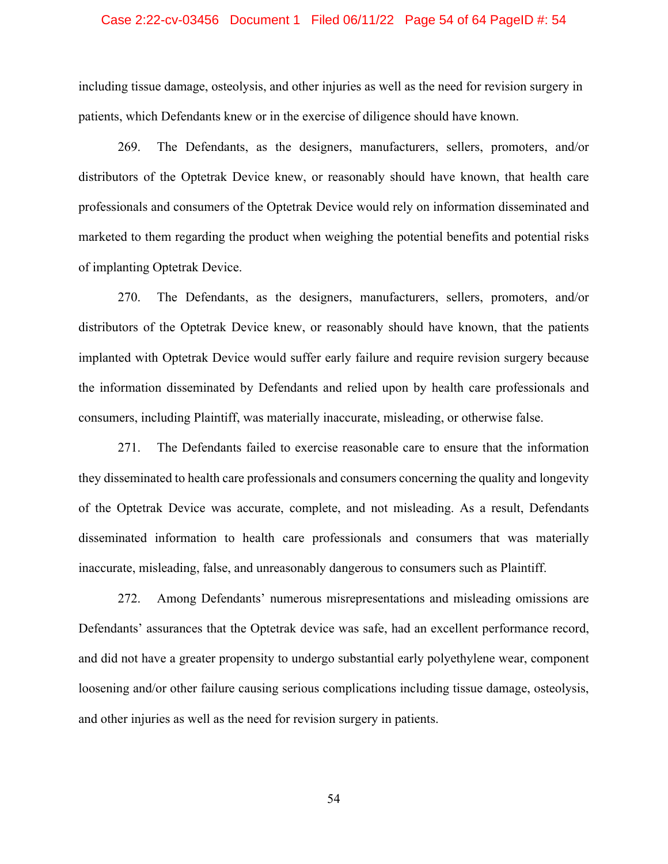### Case 2:22-cv-03456 Document 1 Filed 06/11/22 Page 54 of 64 PageID #: 54

including tissue damage, osteolysis, and other injuries as well as the need for revision surgery in patients, which Defendants knew or in the exercise of diligence should have known.

 269. The Defendants, as the designers, manufacturers, sellers, promoters, and/or distributors of the Optetrak Device knew, or reasonably should have known, that health care professionals and consumers of the Optetrak Device would rely on information disseminated and marketed to them regarding the product when weighing the potential benefits and potential risks of implanting Optetrak Device.

270. The Defendants, as the designers, manufacturers, sellers, promoters, and/or distributors of the Optetrak Device knew, or reasonably should have known, that the patients implanted with Optetrak Device would suffer early failure and require revision surgery because the information disseminated by Defendants and relied upon by health care professionals and consumers, including Plaintiff, was materially inaccurate, misleading, or otherwise false.

271. The Defendants failed to exercise reasonable care to ensure that the information they disseminated to health care professionals and consumers concerning the quality and longevity of the Optetrak Device was accurate, complete, and not misleading. As a result, Defendants disseminated information to health care professionals and consumers that was materially inaccurate, misleading, false, and unreasonably dangerous to consumers such as Plaintiff.

272. Among Defendants' numerous misrepresentations and misleading omissions are Defendants' assurances that the Optetrak device was safe, had an excellent performance record, and did not have a greater propensity to undergo substantial early polyethylene wear, component loosening and/or other failure causing serious complications including tissue damage, osteolysis, and other injuries as well as the need for revision surgery in patients.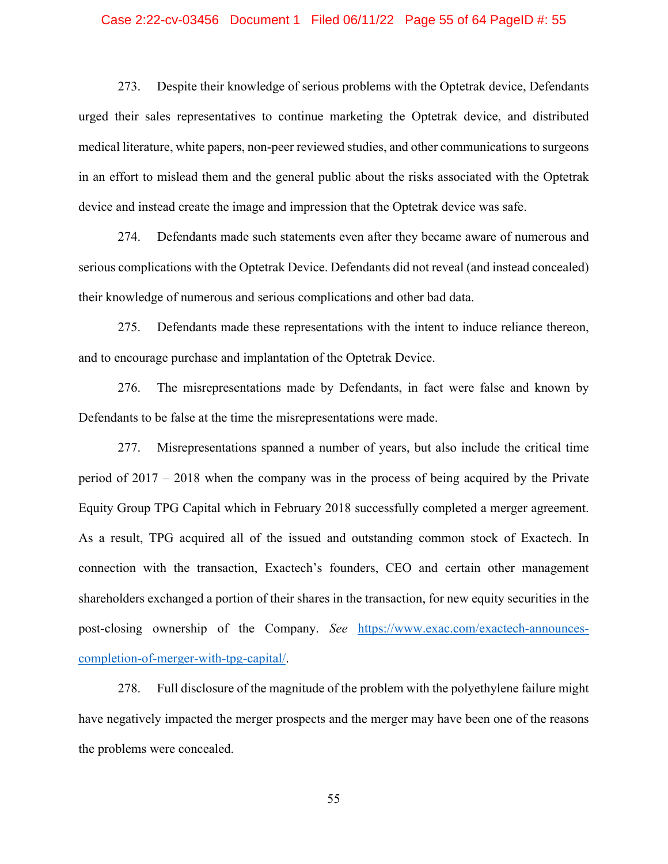### Case 2:22-cv-03456 Document 1 Filed 06/11/22 Page 55 of 64 PageID #: 55

273. Despite their knowledge of serious problems with the Optetrak device, Defendants urged their sales representatives to continue marketing the Optetrak device, and distributed medical literature, white papers, non-peer reviewed studies, and other communications to surgeons in an effort to mislead them and the general public about the risks associated with the Optetrak device and instead create the image and impression that the Optetrak device was safe.

274. Defendants made such statements even after they became aware of numerous and serious complications with the Optetrak Device. Defendants did not reveal (and instead concealed) their knowledge of numerous and serious complications and other bad data.

275. Defendants made these representations with the intent to induce reliance thereon, and to encourage purchase and implantation of the Optetrak Device.

276. The misrepresentations made by Defendants, in fact were false and known by Defendants to be false at the time the misrepresentations were made.

277. Misrepresentations spanned a number of years, but also include the critical time period of 2017 – 2018 when the company was in the process of being acquired by the Private Equity Group TPG Capital which in February 2018 successfully completed a merger agreement. As a result, TPG acquired all of the issued and outstanding common stock of Exactech. In connection with the transaction, Exactech's founders, CEO and certain other management shareholders exchanged a portion of their shares in the transaction, for new equity securities in the post-closing ownership of the Company. *See* https://www.exac.com/exactech-announcescompletion-of-merger-with-tpg-capital/.

278. Full disclosure of the magnitude of the problem with the polyethylene failure might have negatively impacted the merger prospects and the merger may have been one of the reasons the problems were concealed.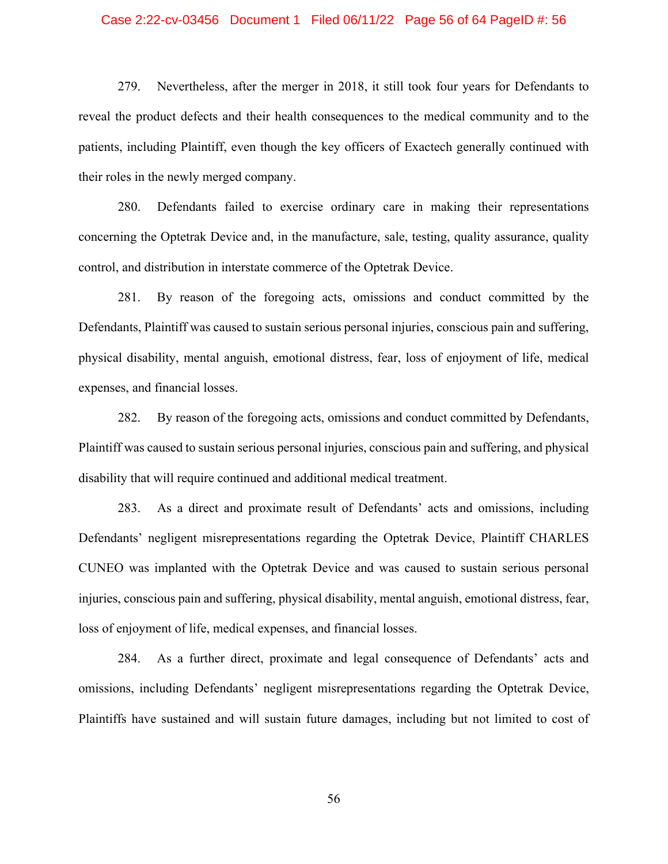### Case 2:22-cv-03456 Document 1 Filed 06/11/22 Page 56 of 64 PageID #: 56

279. Nevertheless, after the merger in 2018, it still took four years for Defendants to reveal the product defects and their health consequences to the medical community and to the patients, including Plaintiff, even though the key officers of Exactech generally continued with their roles in the newly merged company.

280. Defendants failed to exercise ordinary care in making their representations concerning the Optetrak Device and, in the manufacture, sale, testing, quality assurance, quality control, and distribution in interstate commerce of the Optetrak Device.

281. By reason of the foregoing acts, omissions and conduct committed by the Defendants, Plaintiff was caused to sustain serious personal injuries, conscious pain and suffering, physical disability, mental anguish, emotional distress, fear, loss of enjoyment of life, medical expenses, and financial losses.

282. By reason of the foregoing acts, omissions and conduct committed by Defendants, Plaintiff was caused to sustain serious personal injuries, conscious pain and suffering, and physical disability that will require continued and additional medical treatment.

283. As a direct and proximate result of Defendants' acts and omissions, including Defendants' negligent misrepresentations regarding the Optetrak Device, Plaintiff CHARLES CUNEO was implanted with the Optetrak Device and was caused to sustain serious personal injuries, conscious pain and suffering, physical disability, mental anguish, emotional distress, fear, loss of enjoyment of life, medical expenses, and financial losses.

284. As a further direct, proximate and legal consequence of Defendants' acts and omissions, including Defendants' negligent misrepresentations regarding the Optetrak Device, Plaintiffs have sustained and will sustain future damages, including but not limited to cost of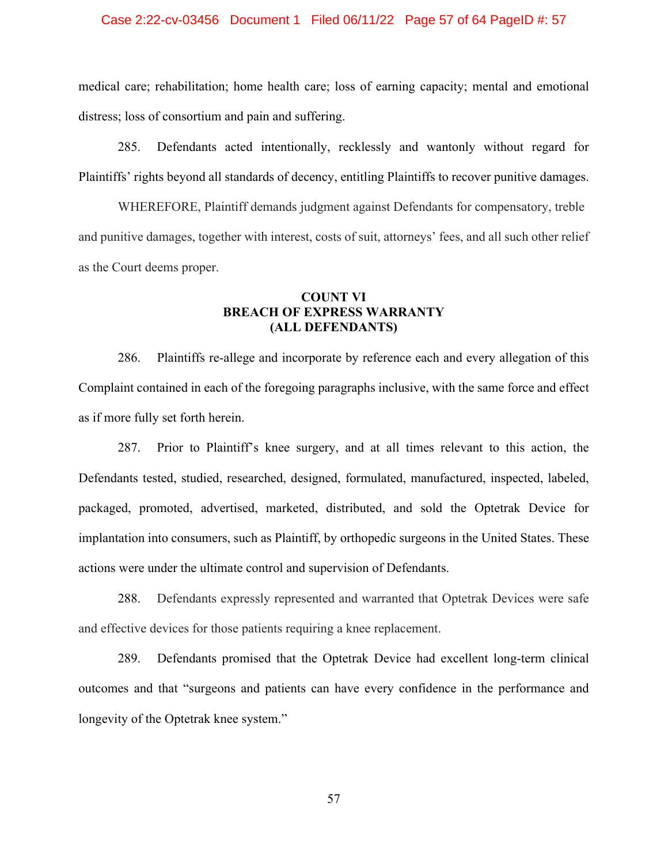### Case 2:22-cv-03456 Document 1 Filed 06/11/22 Page 57 of 64 PageID #: 57

medical care; rehabilitation; home health care; loss of earning capacity; mental and emotional distress; loss of consortium and pain and suffering.

285. Defendants acted intentionally, recklessly and wantonly without regard for Plaintiffs' rights beyond all standards of decency, entitling Plaintiffs to recover punitive damages.

WHEREFORE, Plaintiff demands judgment against Defendants for compensatory, treble and punitive damages, together with interest, costs of suit, attorneys' fees, and all such other relief as the Court deems proper.

# **COUNT VI BREACH OF EXPRESS WARRANTY (ALL DEFENDANTS)**

286. Plaintiffs re-allege and incorporate by reference each and every allegation of this Complaint contained in each of the foregoing paragraphs inclusive, with the same force and effect as if more fully set forth herein.

287. Prior to Plaintiff's knee surgery, and at all times relevant to this action, the Defendants tested, studied, researched, designed, formulated, manufactured, inspected, labeled, packaged, promoted, advertised, marketed, distributed, and sold the Optetrak Device for implantation into consumers, such as Plaintiff, by orthopedic surgeons in the United States. These actions were under the ultimate control and supervision of Defendants.

 288. Defendants expressly represented and warranted that Optetrak Devices were safe and effective devices for those patients requiring a knee replacement.

289. Defendants promised that the Optetrak Device had excellent long-term clinical outcomes and that "surgeons and patients can have every confidence in the performance and longevity of the Optetrak knee system."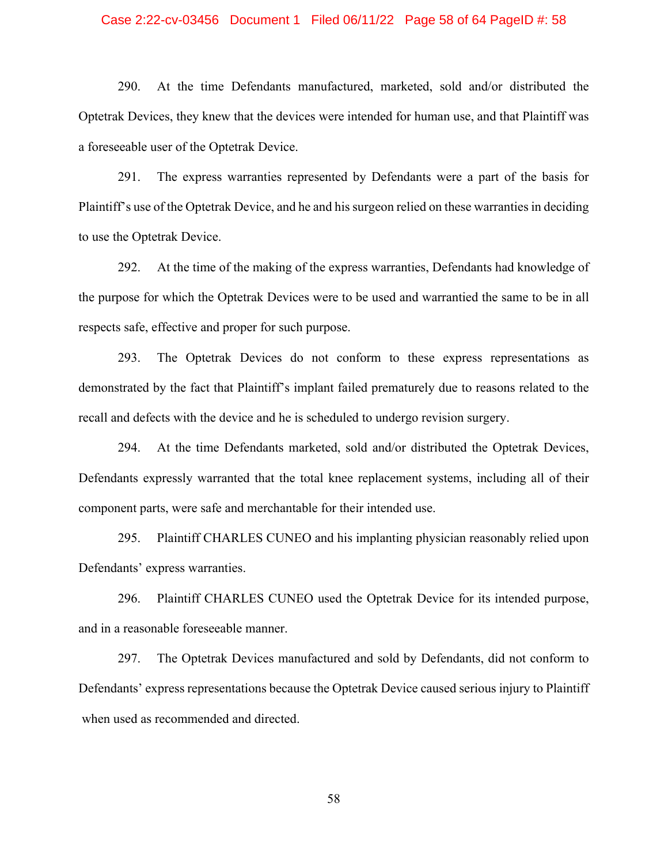### Case 2:22-cv-03456 Document 1 Filed 06/11/22 Page 58 of 64 PageID #: 58

290. At the time Defendants manufactured, marketed, sold and/or distributed the Optetrak Devices, they knew that the devices were intended for human use, and that Plaintiff was a foreseeable user of the Optetrak Device.

291. The express warranties represented by Defendants were a part of the basis for Plaintiff's use of the Optetrak Device, and he and his surgeon relied on these warranties in deciding to use the Optetrak Device.

292. At the time of the making of the express warranties, Defendants had knowledge of the purpose for which the Optetrak Devices were to be used and warrantied the same to be in all respects safe, effective and proper for such purpose.

293. The Optetrak Devices do not conform to these express representations as demonstrated by the fact that Plaintiff's implant failed prematurely due to reasons related to the recall and defects with the device and he is scheduled to undergo revision surgery.

294. At the time Defendants marketed, sold and/or distributed the Optetrak Devices, Defendants expressly warranted that the total knee replacement systems, including all of their component parts, were safe and merchantable for their intended use.

295. Plaintiff CHARLES CUNEO and his implanting physician reasonably relied upon Defendants' express warranties.

296. Plaintiff CHARLES CUNEO used the Optetrak Device for its intended purpose, and in a reasonable foreseeable manner.

297. The Optetrak Devices manufactured and sold by Defendants, did not conform to Defendants' express representations because the Optetrak Device caused serious injury to Plaintiff when used as recommended and directed.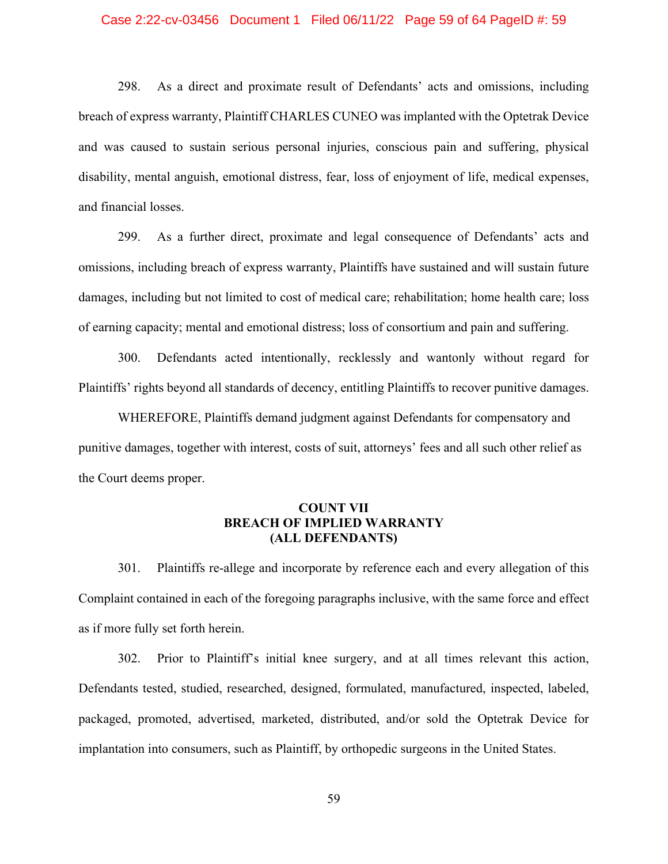### Case 2:22-cv-03456 Document 1 Filed 06/11/22 Page 59 of 64 PageID #: 59

298. As a direct and proximate result of Defendants' acts and omissions, including breach of express warranty, Plaintiff CHARLES CUNEO was implanted with the Optetrak Device and was caused to sustain serious personal injuries, conscious pain and suffering, physical disability, mental anguish, emotional distress, fear, loss of enjoyment of life, medical expenses, and financial losses.

299. As a further direct, proximate and legal consequence of Defendants' acts and omissions, including breach of express warranty, Plaintiffs have sustained and will sustain future damages, including but not limited to cost of medical care; rehabilitation; home health care; loss of earning capacity; mental and emotional distress; loss of consortium and pain and suffering.

300. Defendants acted intentionally, recklessly and wantonly without regard for Plaintiffs' rights beyond all standards of decency, entitling Plaintiffs to recover punitive damages.

WHEREFORE, Plaintiffs demand judgment against Defendants for compensatory and punitive damages, together with interest, costs of suit, attorneys' fees and all such other relief as the Court deems proper.

## **COUNT VII BREACH OF IMPLIED WARRANTY (ALL DEFENDANTS)**

301. Plaintiffs re-allege and incorporate by reference each and every allegation of this Complaint contained in each of the foregoing paragraphs inclusive, with the same force and effect as if more fully set forth herein.

302. Prior to Plaintiff's initial knee surgery, and at all times relevant this action, Defendants tested, studied, researched, designed, formulated, manufactured, inspected, labeled, packaged, promoted, advertised, marketed, distributed, and/or sold the Optetrak Device for implantation into consumers, such as Plaintiff, by orthopedic surgeons in the United States.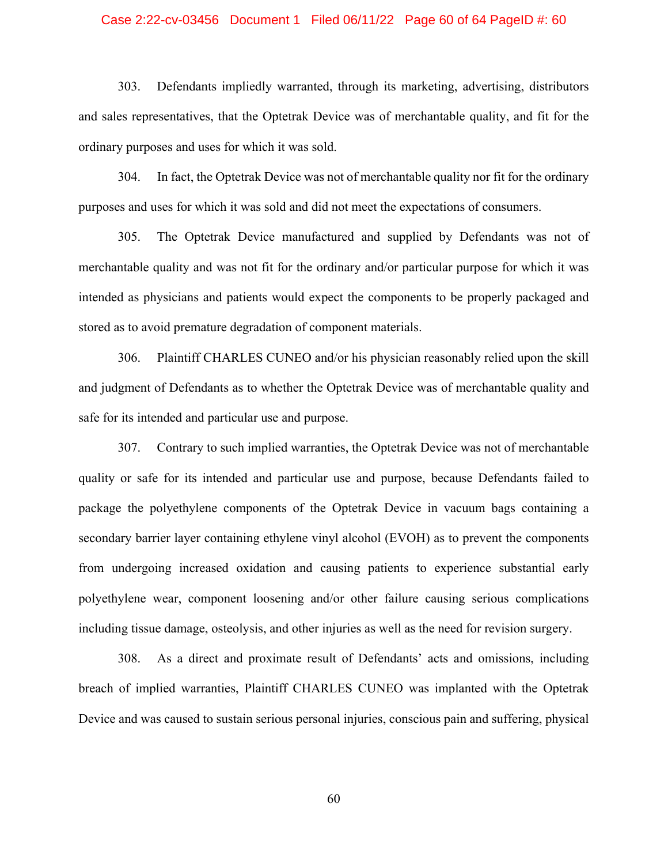### Case 2:22-cv-03456 Document 1 Filed 06/11/22 Page 60 of 64 PageID #: 60

303. Defendants impliedly warranted, through its marketing, advertising, distributors and sales representatives, that the Optetrak Device was of merchantable quality, and fit for the ordinary purposes and uses for which it was sold.

304. In fact, the Optetrak Device was not of merchantable quality nor fit for the ordinary purposes and uses for which it was sold and did not meet the expectations of consumers.

305. The Optetrak Device manufactured and supplied by Defendants was not of merchantable quality and was not fit for the ordinary and/or particular purpose for which it was intended as physicians and patients would expect the components to be properly packaged and stored as to avoid premature degradation of component materials.

306. Plaintiff CHARLES CUNEO and/or his physician reasonably relied upon the skill and judgment of Defendants as to whether the Optetrak Device was of merchantable quality and safe for its intended and particular use and purpose.

307. Contrary to such implied warranties, the Optetrak Device was not of merchantable quality or safe for its intended and particular use and purpose, because Defendants failed to package the polyethylene components of the Optetrak Device in vacuum bags containing a secondary barrier layer containing ethylene vinyl alcohol (EVOH) as to prevent the components from undergoing increased oxidation and causing patients to experience substantial early polyethylene wear, component loosening and/or other failure causing serious complications including tissue damage, osteolysis, and other injuries as well as the need for revision surgery.

308. As a direct and proximate result of Defendants' acts and omissions, including breach of implied warranties, Plaintiff CHARLES CUNEO was implanted with the Optetrak Device and was caused to sustain serious personal injuries, conscious pain and suffering, physical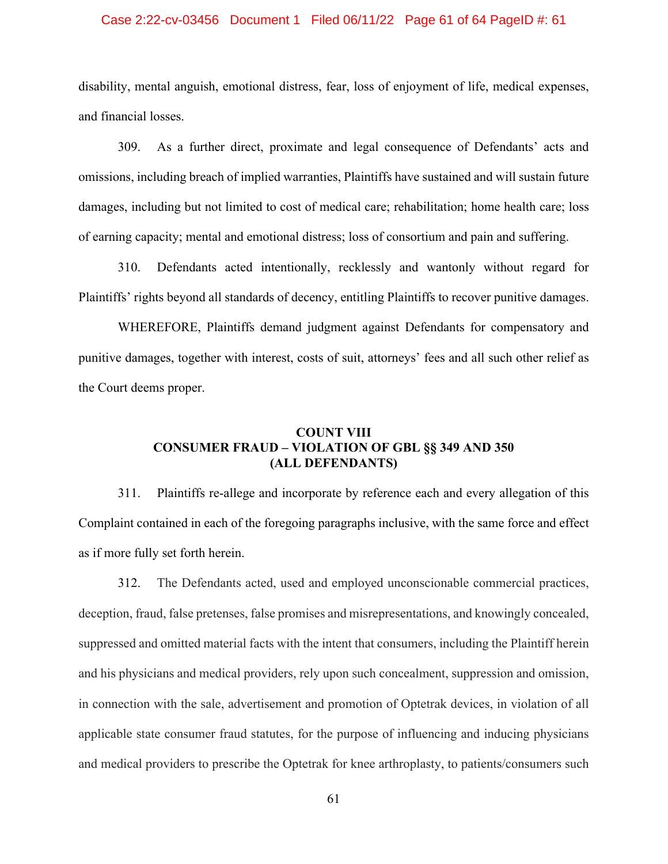### Case 2:22-cv-03456 Document 1 Filed 06/11/22 Page 61 of 64 PageID #: 61

disability, mental anguish, emotional distress, fear, loss of enjoyment of life, medical expenses, and financial losses.

309. As a further direct, proximate and legal consequence of Defendants' acts and omissions, including breach of implied warranties, Plaintiffs have sustained and will sustain future damages, including but not limited to cost of medical care; rehabilitation; home health care; loss of earning capacity; mental and emotional distress; loss of consortium and pain and suffering.

310. Defendants acted intentionally, recklessly and wantonly without regard for Plaintiffs' rights beyond all standards of decency, entitling Plaintiffs to recover punitive damages.

WHEREFORE, Plaintiffs demand judgment against Defendants for compensatory and punitive damages, together with interest, costs of suit, attorneys' fees and all such other relief as the Court deems proper.

# **COUNT VIII CONSUMER FRAUD – VIOLATION OF GBL §§ 349 AND 350 (ALL DEFENDANTS)**

311. Plaintiffs re-allege and incorporate by reference each and every allegation of this Complaint contained in each of the foregoing paragraphs inclusive, with the same force and effect as if more fully set forth herein.

 312. The Defendants acted, used and employed unconscionable commercial practices, deception, fraud, false pretenses, false promises and misrepresentations, and knowingly concealed, suppressed and omitted material facts with the intent that consumers, including the Plaintiff herein and his physicians and medical providers, rely upon such concealment, suppression and omission, in connection with the sale, advertisement and promotion of Optetrak devices, in violation of all applicable state consumer fraud statutes, for the purpose of influencing and inducing physicians and medical providers to prescribe the Optetrak for knee arthroplasty, to patients/consumers such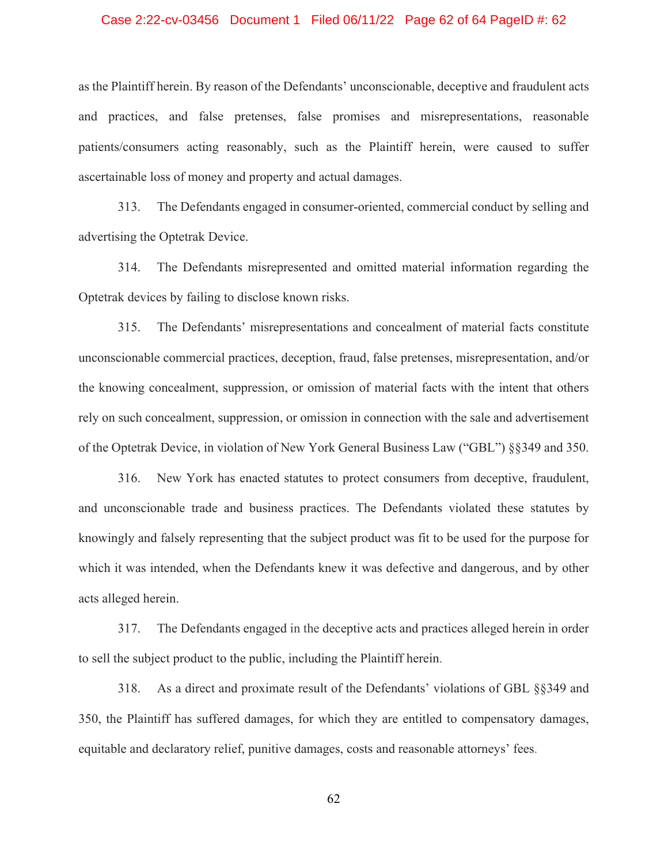### Case 2:22-cv-03456 Document 1 Filed 06/11/22 Page 62 of 64 PageID #: 62

as the Plaintiff herein. By reason of the Defendants' unconscionable, deceptive and fraudulent acts and practices, and false pretenses, false promises and misrepresentations, reasonable patients/consumers acting reasonably, such as the Plaintiff herein, were caused to suffer ascertainable loss of money and property and actual damages.

313. The Defendants engaged in consumer-oriented, commercial conduct by selling and advertising the Optetrak Device.

314. The Defendants misrepresented and omitted material information regarding the Optetrak devices by failing to disclose known risks.

315. The Defendants' misrepresentations and concealment of material facts constitute unconscionable commercial practices, deception, fraud, false pretenses, misrepresentation, and/or the knowing concealment, suppression, or omission of material facts with the intent that others rely on such concealment, suppression, or omission in connection with the sale and advertisement of the Optetrak Device, in violation of New York General Business Law ("GBL") §§349 and 350.

316. New York has enacted statutes to protect consumers from deceptive, fraudulent, and unconscionable trade and business practices. The Defendants violated these statutes by knowingly and falsely representing that the subject product was fit to be used for the purpose for which it was intended, when the Defendants knew it was defective and dangerous, and by other acts alleged herein.

317. The Defendants engaged in the deceptive acts and practices alleged herein in order to sell the subject product to the public, including the Plaintiff herein.

318. As a direct and proximate result of the Defendants' violations of GBL §§349 and 350, the Plaintiff has suffered damages, for which they are entitled to compensatory damages, equitable and declaratory relief, punitive damages, costs and reasonable attorneys' fees.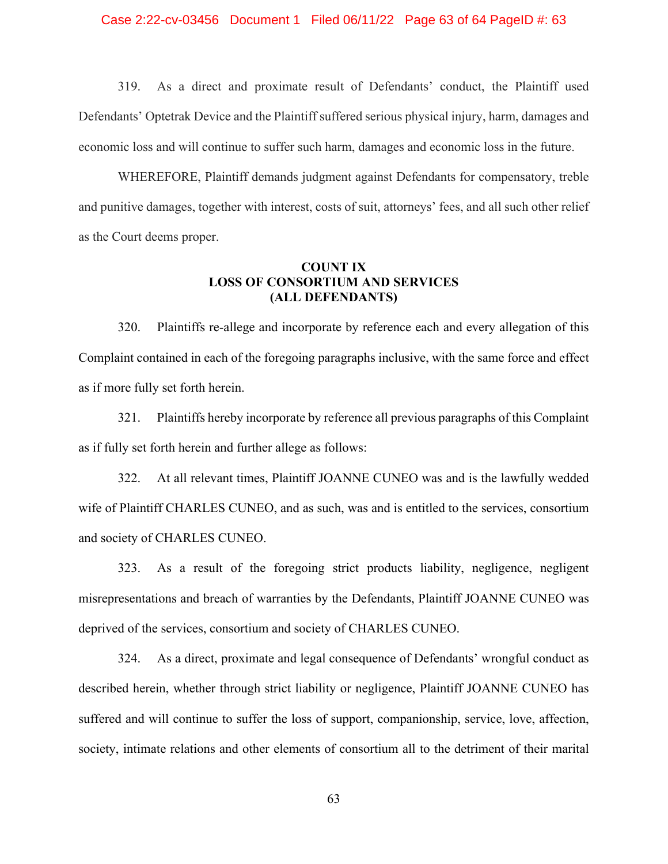### Case 2:22-cv-03456 Document 1 Filed 06/11/22 Page 63 of 64 PageID #: 63

319. As a direct and proximate result of Defendants' conduct, the Plaintiff used Defendants' Optetrak Device and the Plaintiff suffered serious physical injury, harm, damages and economic loss and will continue to suffer such harm, damages and economic loss in the future.

WHEREFORE, Plaintiff demands judgment against Defendants for compensatory, treble and punitive damages, together with interest, costs of suit, attorneys' fees, and all such other relief as the Court deems proper.

## **COUNT IX LOSS OF CONSORTIUM AND SERVICES (ALL DEFENDANTS)**

320. Plaintiffs re-allege and incorporate by reference each and every allegation of this Complaint contained in each of the foregoing paragraphs inclusive, with the same force and effect as if more fully set forth herein.

321. Plaintiffs hereby incorporate by reference all previous paragraphs of this Complaint as if fully set forth herein and further allege as follows:

322. At all relevant times, Plaintiff JOANNE CUNEO was and is the lawfully wedded wife of Plaintiff CHARLES CUNEO, and as such, was and is entitled to the services, consortium and society of CHARLES CUNEO.

323. As a result of the foregoing strict products liability, negligence, negligent misrepresentations and breach of warranties by the Defendants, Plaintiff JOANNE CUNEO was deprived of the services, consortium and society of CHARLES CUNEO.

324. As a direct, proximate and legal consequence of Defendants' wrongful conduct as described herein, whether through strict liability or negligence, Plaintiff JOANNE CUNEO has suffered and will continue to suffer the loss of support, companionship, service, love, affection, society, intimate relations and other elements of consortium all to the detriment of their marital